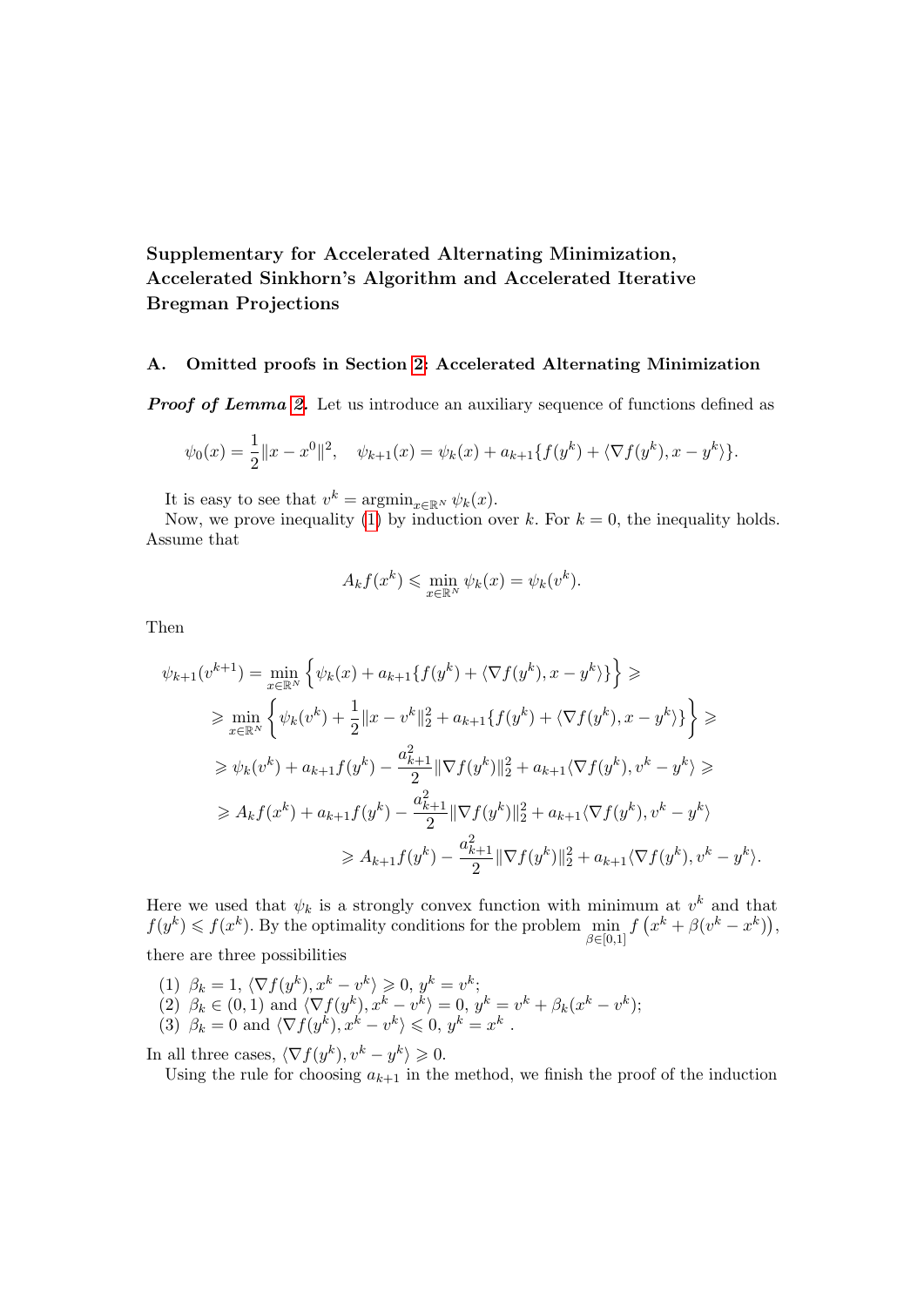# <span id="page-0-0"></span>Supplementary for Accelerated Alternating Minimization, Accelerated Sinkhorn's Algorithm and Accelerated Iterative Bregman Projections

#### A. Omitted proofs in Section [2:](#page-1-0) Accelerated Alternating Minimization

**Proof of Lemma 2.** Let us introduce an auxiliary sequence of functions defined as

$$
\psi_0(x) = \frac{1}{2} ||x - x^0||^2, \quad \psi_{k+1}(x) = \psi_k(x) + a_{k+1} \{ f(y^k) + \langle \nabla f(y^k), x - y^k \rangle \}.
$$

It is easy to see that  $v^k = \operatorname{argmin}_{x \in \mathbb{R}^N} \psi_k(x)$ .

Now, we prove inequality (1) by induction over k. For  $k = 0$ , the inequality holds. Assume that

$$
A_k f(x^k) \leqslant \min_{x \in \mathbb{R}^N} \psi_k(x) = \psi_k(v^k).
$$

Then

$$
\psi_{k+1}(v^{k+1}) = \min_{x \in \mathbb{R}^N} \left\{ \psi_k(x) + a_{k+1} \{ f(y^k) + \langle \nabla f(y^k), x - y^k \rangle \} \right\} \geq
$$
  
\n
$$
\geq \min_{x \in \mathbb{R}^N} \left\{ \psi_k(v^k) + \frac{1}{2} ||x - v^k||_2^2 + a_{k+1} \{ f(y^k) + \langle \nabla f(y^k), x - y^k \rangle \} \right\} \geq
$$
  
\n
$$
\geq \psi_k(v^k) + a_{k+1} f(y^k) - \frac{a_{k+1}^2}{2} ||\nabla f(y^k)||_2^2 + a_{k+1} \langle \nabla f(y^k), v^k - y^k \rangle \geq
$$
  
\n
$$
\geq A_k f(x^k) + a_{k+1} f(y^k) - \frac{a_{k+1}^2}{2} ||\nabla f(y^k)||_2^2 + a_{k+1} \langle \nabla f(y^k), v^k - y^k \rangle
$$
  
\n
$$
\geq A_{k+1} f(y^k) - \frac{a_{k+1}^2}{2} ||\nabla f(y^k)||_2^2 + a_{k+1} \langle \nabla f(y^k), v^k - y^k \rangle.
$$

Here we used that  $\psi_k$  is a strongly convex function with minimum at  $v^k$  and that  $f(y^k) \leqslant f(x^k)$ . By the optimality conditions for the problem  $\min_{\beta \in [0,1]} f(x^k + \beta(v^k - x^k)),$ there are three possibilities

(1)  $\beta_k = 1, \langle \nabla f(y^k), x^k - v^k \rangle \geq 0, y^k = v^k;$ (2)  $\beta_k \in (0,1)$  and  $\langle \nabla f(y^k), x^k - v^k \rangle = 0, y^k = v^k + \beta_k (x^k - v^k);$ (3)  $\beta_k = 0$  and  $\langle \nabla f(y^k), x^k - v^k \rangle \leq 0, y^k = x^k$ .

In all three cases,  $\langle \nabla f(y^k), v^k - y^k \rangle \geq 0$ .

Using the rule for choosing  $a_{k+1}$  in the method, we finish the proof of the induction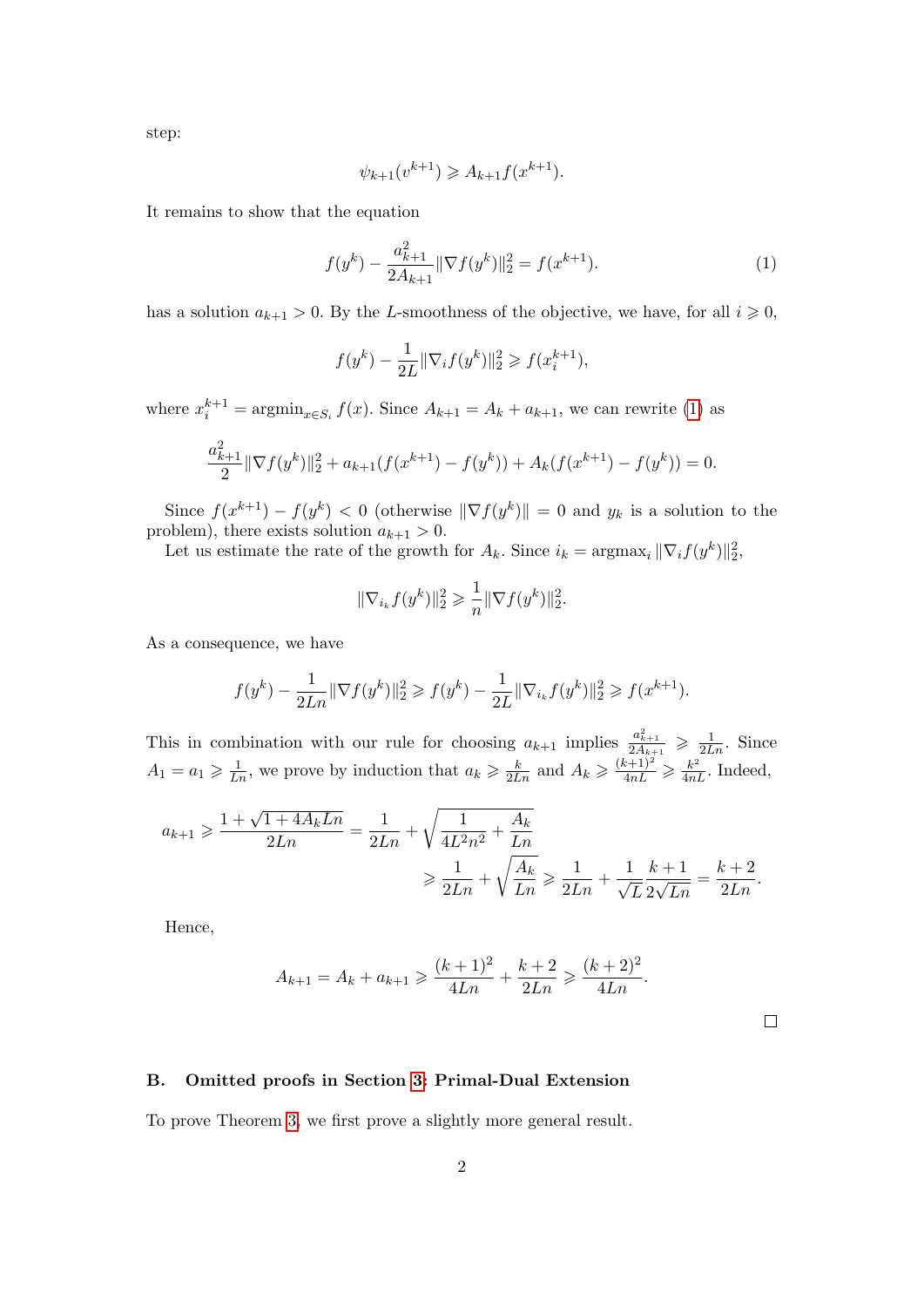step:

$$
\psi_{k+1}(v^{k+1}) \geq A_{k+1}f(x^{k+1}).
$$

It remains to show that the equation

<span id="page-1-1"></span>
$$
f(y^{k}) - \frac{a_{k+1}^{2}}{2A_{k+1}} \|\nabla f(y^{k})\|_{2}^{2} = f(x^{k+1}).
$$
\n(1)

has a solution  $a_{k+1} > 0$ . By the L-smoothness of the objective, we have, for all  $i \geq 0$ ,

$$
f(y^{k}) - \frac{1}{2L} \|\nabla_i f(y^{k})\|_2^2 \ge f(x_i^{k+1}),
$$

where  $x_i^{k+1} = \operatorname{argmin}_{x \in S_i} f(x)$ . Since  $A_{k+1} = A_k + a_{k+1}$ , we can rewrite [\(1\)](#page-1-1) as

$$
\frac{a_{k+1}^2}{2} \|\nabla f(y^k)\|_2^2 + a_{k+1}(f(x^{k+1}) - f(y^k)) + A_k(f(x^{k+1}) - f(y^k)) = 0.
$$

Since  $f(x^{k+1}) - f(y^k) < 0$  (otherwise  $\|\nabla f(y^k)\| = 0$  and  $y_k$  is a solution to the problem), there exists solution  $a_{k+1} > 0$ .

Let us estimate the rate of the growth for  $A_k$ . Since  $i_k = \text{argmax}_i ||\nabla_i f(y^k)||_2^2$ ,

$$
\|\nabla_{i_k} f(y^k)\|_2^2 \geqslant \frac{1}{n} \|\nabla f(y^k)\|_2^2.
$$

As a consequence, we have

$$
f(y^k) - \frac{1}{2Ln} \|\nabla f(y^k)\|_2^2 \ge f(y^k) - \frac{1}{2L} \|\nabla_{i_k} f(y^k)\|_2^2 \ge f(x^{k+1}).
$$

This in combination with our rule for choosing  $a_{k+1}$  implies  $\frac{a_{k+1}^2}{2A_{k+1}} \geqslant \frac{1}{2Ln}$ . Since  $A_1 = a_1 \geq \frac{1}{Ln}$ , we prove by induction that  $a_k \geq \frac{k}{2Ln}$  and  $A_k \geq \frac{(k+1)^2}{4nL} \geq \frac{k^2}{4nL}$ . Indeed,

$$
a_{k+1} \geq \frac{1 + \sqrt{1 + 4A_k L n}}{2Ln} = \frac{1}{2Ln} + \sqrt{\frac{1}{4L^2 n^2} + \frac{A_k}{Ln}} \geq \frac{1}{2Ln} + \sqrt{\frac{A_k}{Ln}} \geq \frac{1}{2Ln} + \frac{1}{\sqrt{L}} \frac{k+1}{2\sqrt{Ln}} = \frac{k+2}{2Ln}.
$$

Hence,

$$
A_{k+1} = A_k + a_{k+1} \ge \frac{(k+1)^2}{4Ln} + \frac{k+2}{2Ln} \ge \frac{(k+2)^2}{4Ln}.
$$

 $\Box$ 

<span id="page-1-0"></span>B. Omitted proofs in Section [3:](#page-4-0) Primal-Dual Extension

To prove Theorem [3,](#page-0-0) we first prove a slightly more general result.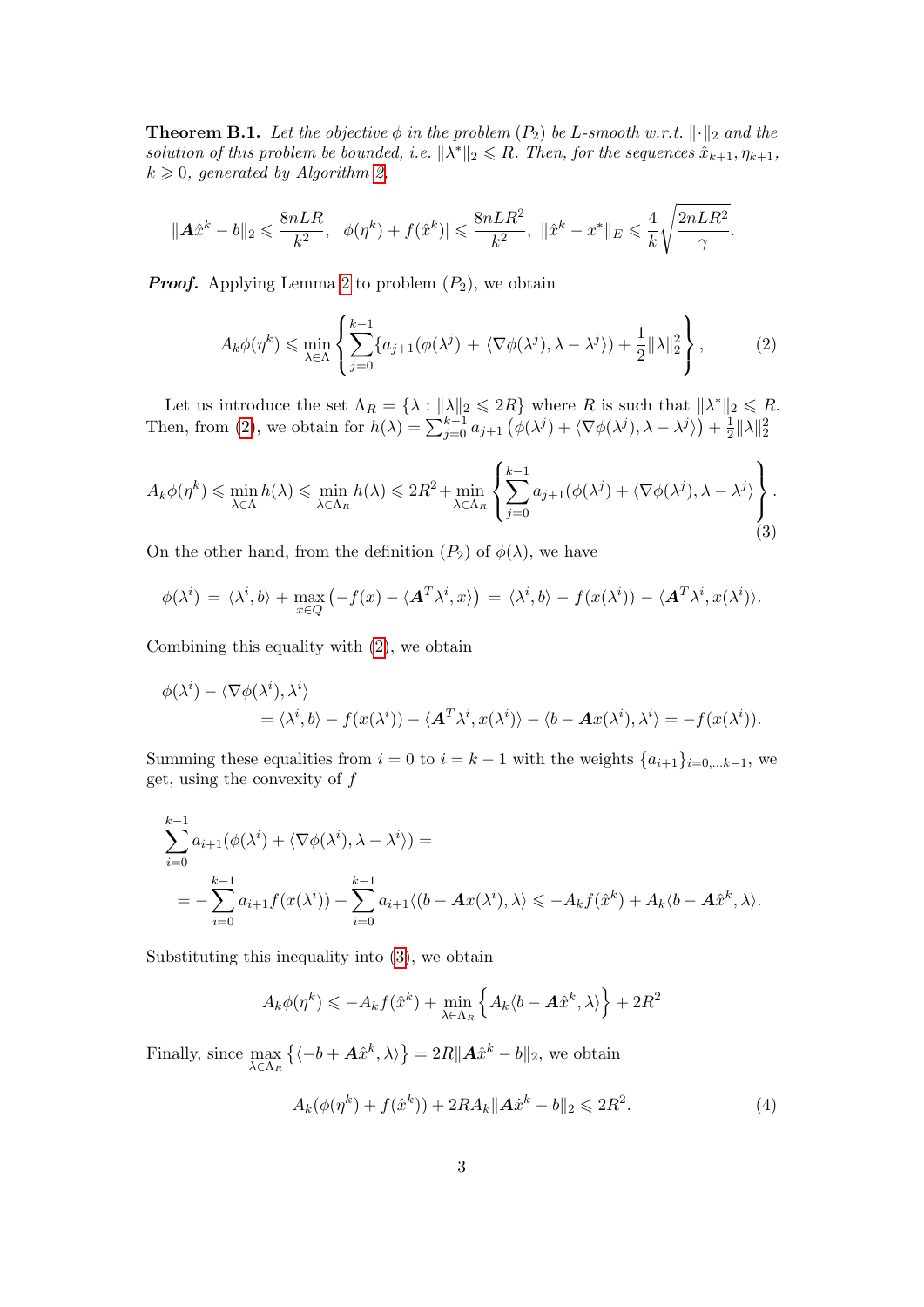<span id="page-2-3"></span>**Theorem B.1.** Let the objective  $\phi$  in the problem  $(P_2)$  be L-smooth w.r.t.  $\lVert \cdot \rVert_2$  and the solution of this problem be bounded, i.e.  $\|\lambda^*\|_2 \leq R$ . Then, for the sequences  $\hat{x}_{k+1}, \eta_{k+1}$ ,  $k \geqslant 0$ , generated by Algorithm [2,](#page-8-0)

$$
\|{\cal A}\hat{x}^k-b\|_2\leqslant \frac{8nLR}{k^2},\,\,|\phi(\eta^k)+f(\hat{x}^k)|\leqslant \frac{8nLR^2}{k^2},\,\,\|\hat{x}^k-x^*\|_E\leqslant \frac{4}{k}\sqrt{\frac{2nLR^2}{\gamma}}.
$$

**Proof.** Applying Lemma [2](#page-0-0) to problem  $(P_2)$ , we obtain

<span id="page-2-0"></span>
$$
A_k \phi(\eta^k) \leq \min_{\lambda \in \Lambda} \left\{ \sum_{j=0}^{k-1} \{ a_{j+1}(\phi(\lambda^j) + \langle \nabla \phi(\lambda^j), \lambda - \lambda^j \rangle) + \frac{1}{2} ||\lambda||_2^2 \right\},\tag{2}
$$

Let us introduce the set  $\Lambda_R = \{\lambda : ||\lambda||_2 \leqslant 2R\}$  where R is such that  $||\lambda^*||_2 \leqslant R$ . Then, from [\(2\)](#page-2-0), we obtain for  $h(\lambda) = \sum_{j=0}^{k-1} a_{j+1} \left( \phi(\lambda^j) + \langle \nabla \phi(\lambda^j), \lambda - \lambda^j \rangle \right) + \frac{1}{2}$  $\frac{1}{2}$   $\|\lambda\|_2^2$ 

<span id="page-2-1"></span>
$$
A_k \phi(\eta^k) \leq \min_{\lambda \in \Lambda} h(\lambda) \leq \min_{\lambda \in \Lambda_R} h(\lambda) \leq 2R^2 + \min_{\lambda \in \Lambda_R} \left\{ \sum_{j=0}^{k-1} a_{j+1}(\phi(\lambda^j) + \langle \nabla \phi(\lambda^j), \lambda - \lambda^j \rangle \right\}.
$$
\n(3)

On the other hand, from the definition  $(P_2)$  of  $\phi(\lambda)$ , we have

$$
\phi(\lambda^i) = \langle \lambda^i, b \rangle + \max_{x \in Q} \left( -f(x) - \langle \mathbf{A}^T \lambda^i, x \rangle \right) = \langle \lambda^i, b \rangle - f(x(\lambda^i)) - \langle \mathbf{A}^T \lambda^i, x(\lambda^i) \rangle.
$$

Combining this equality with [\(2\)](#page-0-0), we obtain

$$
\phi(\lambda^{i}) - \langle \nabla \phi(\lambda^{i}), \lambda^{i} \rangle
$$
  
=  $\langle \lambda^{i}, b \rangle - f(x(\lambda^{i})) - \langle \mathbf{A}^{T} \lambda^{i}, x(\lambda^{i}) \rangle - \langle b - \mathbf{A} x(\lambda^{i}), \lambda^{i} \rangle = -f(x(\lambda^{i})).$ 

Summing these equalities from  $i = 0$  to  $i = k - 1$  with the weights  $\{a_{i+1}\}_{i=0,\dots,k-1}$ , we get, using the convexity of  $f$ 

$$
\sum_{i=0}^{k-1} a_{i+1}(\phi(\lambda^i) + \langle \nabla \phi(\lambda^i), \lambda - \lambda^i \rangle) =
$$
  
= 
$$
-\sum_{i=0}^{k-1} a_{i+1} f(x(\lambda^i)) + \sum_{i=0}^{k-1} a_{i+1} \langle (b - Ax(\lambda^i), \lambda \rangle) \langle -A_k f(\hat{x}^k) + A_k (b - A\hat{x}^k, \lambda \rangle).
$$

Substituting this inequality into [\(3\)](#page-2-1), we obtain

$$
A_k \phi(\eta^k) \leqslant -A_k f(\hat{x}^k) + \min_{\lambda \in \Lambda_R} \left\{ A_k \langle b - \mathbf{A} \hat{x}^k, \lambda \rangle \right\} + 2R^2
$$

Finally, since  $\max_{\lambda \in \Lambda_R}$  $\{\langle -b + \mathbf{A}\hat{x}^k, \lambda \rangle\} = 2R\|\mathbf{A}\hat{x}^k - b\|_2$ , we obtain

<span id="page-2-2"></span>
$$
A_k(\phi(\eta^k) + f(\hat{x}^k)) + 2RA_k \|A\hat{x}^k - b\|_2 \le 2R^2.
$$
 (4)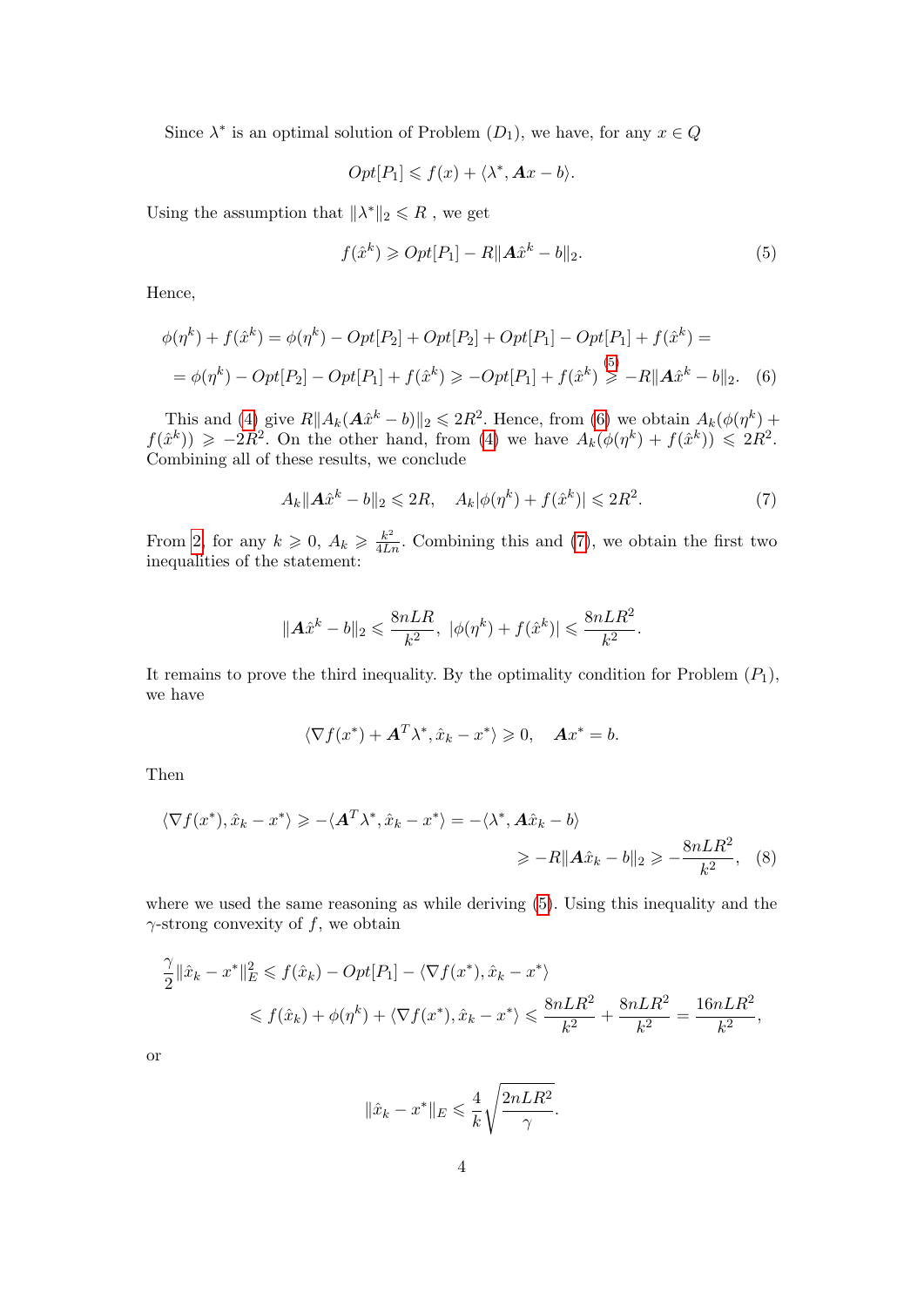Since  $\lambda^*$  is an optimal solution of Problem  $(D_1)$ , we have, for any  $x \in Q$ 

$$
Opt[P_1] \leqslant f(x) + \langle \lambda^*, \mathbf{A}x - b \rangle.
$$

Using the assumption that  $\|\lambda^*\|_2 \leq R$ , we get

<span id="page-3-1"></span><span id="page-3-0"></span>
$$
f(\hat{x}^k) \geqslant Opt[P_1] - R\|\mathbf{A}\hat{x}^k - b\|_2. \tag{5}
$$

Hence,

$$
\phi(\eta^k) + f(\hat{x}^k) = \phi(\eta^k) - Opt[P_2] + Opt[P_2] + Opt[P_1] - Opt[P_1] + f(\hat{x}^k) =
$$
  
= 
$$
\phi(\eta^k) - Opt[P_2] - Opt[P_1] + f(\hat{x}^k) \ge -Opt[P_1] + f(\hat{x}^k) \ge -R||\mathbf{A}\hat{x}^k - b||_2.
$$
 (6)

This and [\(4\)](#page-2-2) give  $R||A_k(A\hat{x}^k - b)||_2 \leq 2R^2$ . Hence, from [\(6\)](#page-3-1) we obtain  $A_k(\phi(\eta^k) +$  $f(\hat{x}^k)$   $\geqslant -2R^2$ . On the other hand, from [\(4\)](#page-2-2) we have  $A_k(\phi(\eta^k) + f(\hat{x}^k)) \leqslant 2R^2$ . Combining all of these results, we conclude

<span id="page-3-2"></span>
$$
A_k \|\mathbf{A}\hat{x}^k - b\|_2 \leq 2R, \quad A_k |\phi(\eta^k) + f(\hat{x}^k)| \leq 2R^2. \tag{7}
$$

From [2,](#page-0-0) for any  $k \geq 0$ ,  $A_k \geq \frac{k^2}{4Ln}$ . Combining this and [\(7\)](#page-3-2), we obtain the first two inequalities of the statement:

$$
\|\mathbf{A}\hat{x}^{k} - b\|_{2} \leq \frac{8nLR}{k^{2}}, \ |\phi(\eta^{k}) + f(\hat{x}^{k})| \leq \frac{8nLR^{2}}{k^{2}}.
$$

It remains to prove the third inequality. By the optimality condition for Problem  $(P_1)$ , we have

$$
\langle \nabla f(x^*) + \mathbf{A}^T \lambda^*, \hat{x}_k - x^* \rangle \geq 0, \quad \mathbf{A} x^* = b.
$$

Then

$$
\langle \nabla f(x^*), \hat{x}_k - x^* \rangle \ge -\langle \mathbf{A}^T \lambda^*, \hat{x}_k - x^* \rangle = -\langle \lambda^*, \mathbf{A} \hat{x}_k - b \rangle
$$
  

$$
\ge -R \|\mathbf{A} \hat{x}_k - b\|_2 \ge -\frac{8nLR^2}{k^2}, \quad (8)
$$

where we used the same reasoning as while deriving [\(5\)](#page-3-0). Using this inequality and the  $\gamma$ -strong convexity of f, we obtain

$$
\frac{\gamma}{2} \|\hat{x}_k - x^*\|_E^2 \leq f(\hat{x}_k) - Opt[P_1] - \langle \nabla f(x^*), \hat{x}_k - x^* \rangle
$$
  

$$
\leq f(\hat{x}_k) + \phi(\eta^k) + \langle \nabla f(x^*), \hat{x}_k - x^* \rangle \leq \frac{8nLR^2}{k^2} + \frac{8nLR^2}{k^2} = \frac{16nLR^2}{k^2},
$$

or

$$
\|\hat{x}_k - x^*\|_E \leq \frac{4}{k} \sqrt{\frac{2nLR^2}{\gamma}}.
$$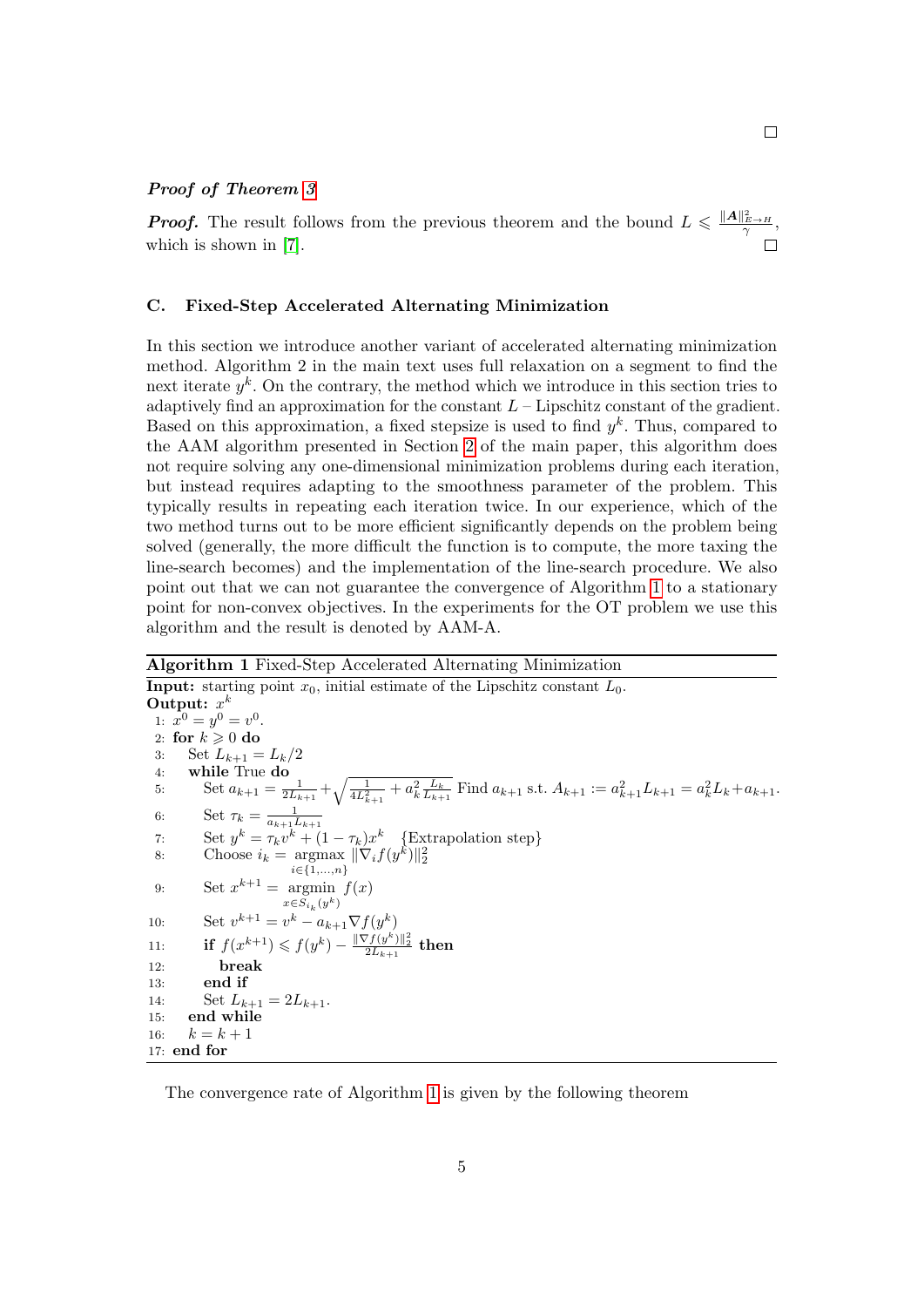#### Proof of Theorem [3](#page-0-0)

**Proof.** The result follows from the previous theorem and the bound  $L \leq \frac{\|A\|_{E \to H}^2}{\gamma}$ , which is shown in [\[7\]](#page-28-0).

## <span id="page-4-0"></span>C. Fixed-Step Accelerated Alternating Minimization

In this section we introduce another variant of accelerated alternating minimization method. Algorithm 2 in the main text uses full relaxation on a segment to find the next iterate  $y^k$ . On the contrary, the method which we introduce in this section tries to adaptively find an approximation for the constant  $L$  – Lipschitz constant of the gradient. Based on this approximation, a fixed stepsize is used to find  $y<sup>k</sup>$ . Thus, compared to the AAM algorithm presented in Section [2](#page-1-0) of the main paper, this algorithm does not require solving any one-dimensional minimization problems during each iteration, but instead requires adapting to the smoothness parameter of the problem. This typically results in repeating each iteration twice. In our experience, which of the two method turns out to be more efficient significantly depends on the problem being solved (generally, the more difficult the function is to compute, the more taxing the line-search becomes) and the implementation of the line-search procedure. We also point out that we can not guarantee the convergence of Algorithm [1](#page-4-1) to a stationary point for non-convex objectives. In the experiments for the OT problem we use this algorithm and the result is denoted by AAM-A.

<span id="page-4-1"></span>Algorithm 1 Fixed-Step Accelerated Alternating Minimization **Input:** starting point  $x_0$ , initial estimate of the Lipschitz constant  $L_0$ . Output:  $x^k$ 1:  $x^0 = y^0 = v^0$ . 2: for  $k \geqslant 0$  do 3: Set  $L_{k+1} = L_k/2$ 4: while True do 5: Set  $a_{k+1} = \frac{1}{2L_{k+1}} + \sqrt{\frac{1}{4L_{k+1}^2} + a_k^2 \frac{L_k}{L_{k+1}}}$  Find  $a_{k+1}$  s.t.  $A_{k+1} := a_{k+1}^2 L_{k+1} = a_k^2 L_k + a_{k+1}$ . 6: Set  $\tau_k = \frac{1}{a_{k+1}L_{k+1}}$ 7: Set  $y^k = \tau_k v^k + (1 - \tau_k)x^k$  {Extrapolation step} 8: Choose  $i_k = \text{argmax} \|\nabla_i f(y^k)\|_2^2$  $i \in \{1,...,n\}$ 9: Set  $x^{k+1} = \argmin f(x)$  $x \in S_{i_k}(y^k)$ 10: Set  $v^{k+1} = v^k - a_{k+1} \nabla f(y^k)$ 11: if  $f(x^{k+1}) \leqslant f(y^k) - \frac{\|\nabla f(y^k)\|_2^2}{2L_{k+1}}$  then 12: break 13: end if 14: Set  $L_{k+1} = 2L_{k+1}$ . 15: end while 16:  $k = k + 1$ 17: end for

The convergence rate of Algorithm [1](#page-4-1) is given by the following theorem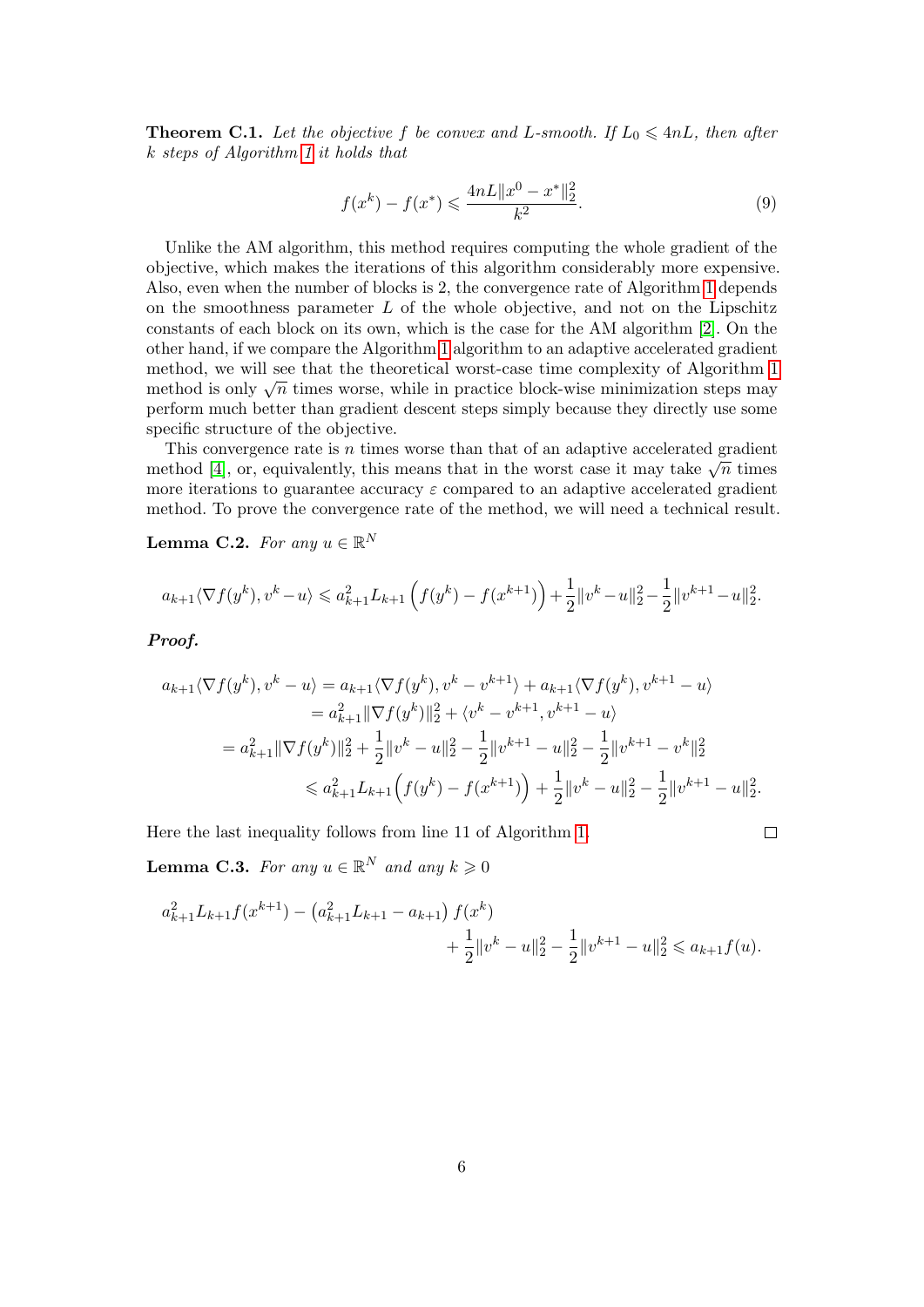<span id="page-5-1"></span>**Theorem C.1.** Let the objective f be convex and L-smooth. If  $L_0 \leq 4nL$ , then after k steps of Algorithm [1](#page-4-1) it holds that

$$
f(x^{k}) - f(x^{*}) \leq \frac{4nL||x^{0} - x^{*}||_{2}^{2}}{k^{2}}.
$$
\n(9)

Unlike the AM algorithm, this method requires computing the whole gradient of the objective, which makes the iterations of this algorithm considerably more expensive. Also, even when the number of blocks is 2, the convergence rate of Algorithm [1](#page-4-1) depends on the smoothness parameter  $L$  of the whole objective, and not on the Lipschitz constants of each block on its own, which is the case for the AM algorithm [\[2\]](#page-28-1). On the other hand, if we compare the Algorithm [1](#page-4-1) algorithm to an adaptive accelerated gradient method, we will see that the theoretical worst-case time complexity of Algorithm [1](#page-4-1) method, we will see that the theoretical worst-case time complexity of Algorithm 1 method is only  $\sqrt{n}$  times worse, while in practice block-wise minimization steps may perform much better than gradient descent steps simply because they directly use some specific structure of the objective.

This convergence rate is  $n$  times worse than that of an adaptive accelerated gradient This convergence rate is *n* times worse than that or an adaptive accelerated gradient method [\[4\]](#page-28-2), or, equivalently, this means that in the worst case it may take  $\sqrt{n}$  times more iterations to guarantee accuracy  $\varepsilon$  compared to an adaptive accelerated gradient method. To prove the convergence rate of the method, we will need a technical result.

<span id="page-5-0"></span>Lemma C.2. For any  $u \in \mathbb{R}^N$ 

$$
a_{k+1}\langle \nabla f(y^k), v^k - u \rangle \leq a_{k+1}^2 L_{k+1} \left( f(y^k) - f(x^{k+1}) \right) + \frac{1}{2} \|v^k - u\|_2^2 - \frac{1}{2} \|v^{k+1} - u\|_2^2.
$$

Proof.

$$
a_{k+1}\langle \nabla f(y^k), v^k - u \rangle = a_{k+1}\langle \nabla f(y^k), v^k - v^{k+1} \rangle + a_{k+1}\langle \nabla f(y^k), v^{k+1} - u \rangle
$$
  
\n
$$
= a_{k+1}^2 \|\nabla f(y^k)\|_2^2 + \langle v^k - v^{k+1}, v^{k+1} - u \rangle
$$
  
\n
$$
= a_{k+1}^2 \|\nabla f(y^k)\|_2^2 + \frac{1}{2} \|v^k - u\|_2^2 - \frac{1}{2} \|v^{k+1} - u\|_2^2 - \frac{1}{2} \|v^{k+1} - v^k\|_2^2
$$
  
\n
$$
\leq a_{k+1}^2 L_{k+1} \Big( f(y^k) - f(x^{k+1}) \Big) + \frac{1}{2} \|v^k - u\|_2^2 - \frac{1}{2} \|v^{k+1} - u\|_2^2.
$$

Here the last inequality follows from line 11 of Algorithm [1.](#page-4-1)

$$
\qquad \qquad \Box
$$

<span id="page-5-2"></span>**Lemma C.3.** For any  $u \in \mathbb{R}^N$  and any  $k \geqslant 0$ 

$$
a_{k+1}^2 L_{k+1} f(x^{k+1}) - (a_{k+1}^2 L_{k+1} - a_{k+1}) f(x^k) + \frac{1}{2} ||v^k - u||_2^2 - \frac{1}{2} ||v^{k+1} - u||_2^2 \leq a_{k+1} f(u).
$$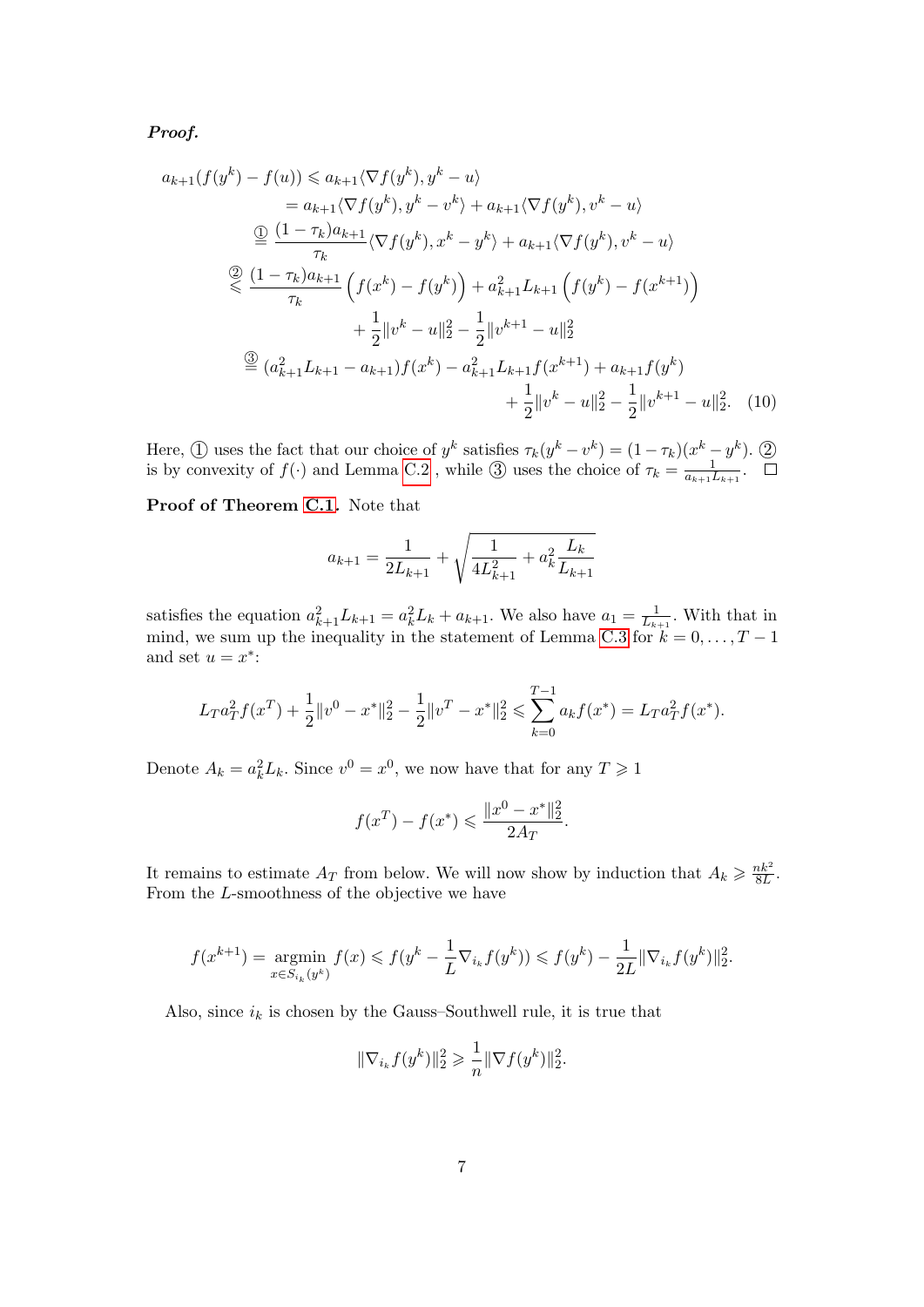Proof.

$$
a_{k+1}(f(y^k) - f(u)) \le a_{k+1}\langle \nabla f(y^k), y^k - u \rangle
$$
  
\n
$$
= a_{k+1}\langle \nabla f(y^k), y^k - v^k \rangle + a_{k+1}\langle \nabla f(y^k), v^k - u \rangle
$$
  
\n
$$
\stackrel{\textcircled{}}{=} \frac{(1 - \tau_k)a_{k+1}}{\tau_k} \langle \nabla f(y^k), x^k - y^k \rangle + a_{k+1}\langle \nabla f(y^k), v^k - u \rangle
$$
  
\n
$$
\stackrel{\textcircled{}}{=} \frac{(1 - \tau_k)a_{k+1}}{\tau_k} \left( f(x^k) - f(y^k) \right) + a_{k+1}^2 L_{k+1} \left( f(y^k) - f(x^{k+1}) \right)
$$
  
\n
$$
+ \frac{1}{2} ||v^k - u||_2^2 - \frac{1}{2} ||v^{k+1} - u||_2^2
$$
  
\n
$$
\stackrel{\textcircled{}}{=} (a_{k+1}^2 L_{k+1} - a_{k+1}) f(x^k) - a_{k+1}^2 L_{k+1} f(x^{k+1}) + a_{k+1} f(y^k)
$$
  
\n
$$
+ \frac{1}{2} ||v^k - u||_2^2 - \frac{1}{2} ||v^{k+1} - u||_2^2.
$$
 (10)

Here,  $\textcircled{1}$  uses the fact that our choice of  $y^k$  satisfies  $\tau_k(y^k - v^k) = (1 - \tau_k)(x^k - y^k)$ .  $\textcircled{2}$ is by convexity of  $f(\cdot)$  and Lemma [C.2](#page-5-0), while  $\circled{3}$  uses the choice of  $\tau_k = \frac{1}{a_{k+1}}$  $\frac{1}{a_{k+1}L_{k+1}}$ .

Proof of Theorem [C.1](#page-5-1). Note that

$$
a_{k+1} = \frac{1}{2L_{k+1}} + \sqrt{\frac{1}{4L_{k+1}^2} + a_k^2 \frac{L_k}{L_{k+1}}}
$$

satisfies the equation  $a_{k+1}^2 L_{k+1} = a_k^2 L_k + a_{k+1}$ . We also have  $a_1 = \frac{1}{L_k}$  $\frac{1}{L_{k+1}}$ . With that in mind, we sum up the inequality in the statement of Lemma [C.3](#page-5-2) for  $k = 0, \ldots, T - 1$ and set  $u = x^*$ :

$$
L_T a_T^2 f(x^T) + \frac{1}{2} \|v^0 - x^*\|_2^2 - \frac{1}{2} \|v^T - x^*\|_2^2 \leqslant \sum_{k=0}^{T-1} a_k f(x^*) = L_T a_T^2 f(x^*).
$$

Denote  $A_k = a_k^2 L_k$ . Since  $v^0 = x^0$ , we now have that for any  $T \ge 1$ 

$$
f(x^T) - f(x^*) \le \frac{||x^0 - x^*||_2^2}{2A_T}.
$$

It remains to estimate  $A_T$  from below. We will now show by induction that  $A_k \geq \frac{nk^2}{8L}$  $\frac{nk^2}{8L}$ . From the L-smoothness of the objective we have

$$
f(x^{k+1}) = \underset{x \in S_{i_k}(y^k)}{\operatorname{argmin}} f(x) \leqslant f(y^k - \frac{1}{L} \nabla_{i_k} f(y^k)) \leqslant f(y^k) - \frac{1}{2L} \|\nabla_{i_k} f(y^k)\|_2^2.
$$

Also, since  $i_k$  is chosen by the Gauss–Southwell rule, it is true that

$$
\|\nabla_{i_k} f(y^k)\|_2^2 \geq \frac{1}{n} \|\nabla f(y^k)\|_2^2.
$$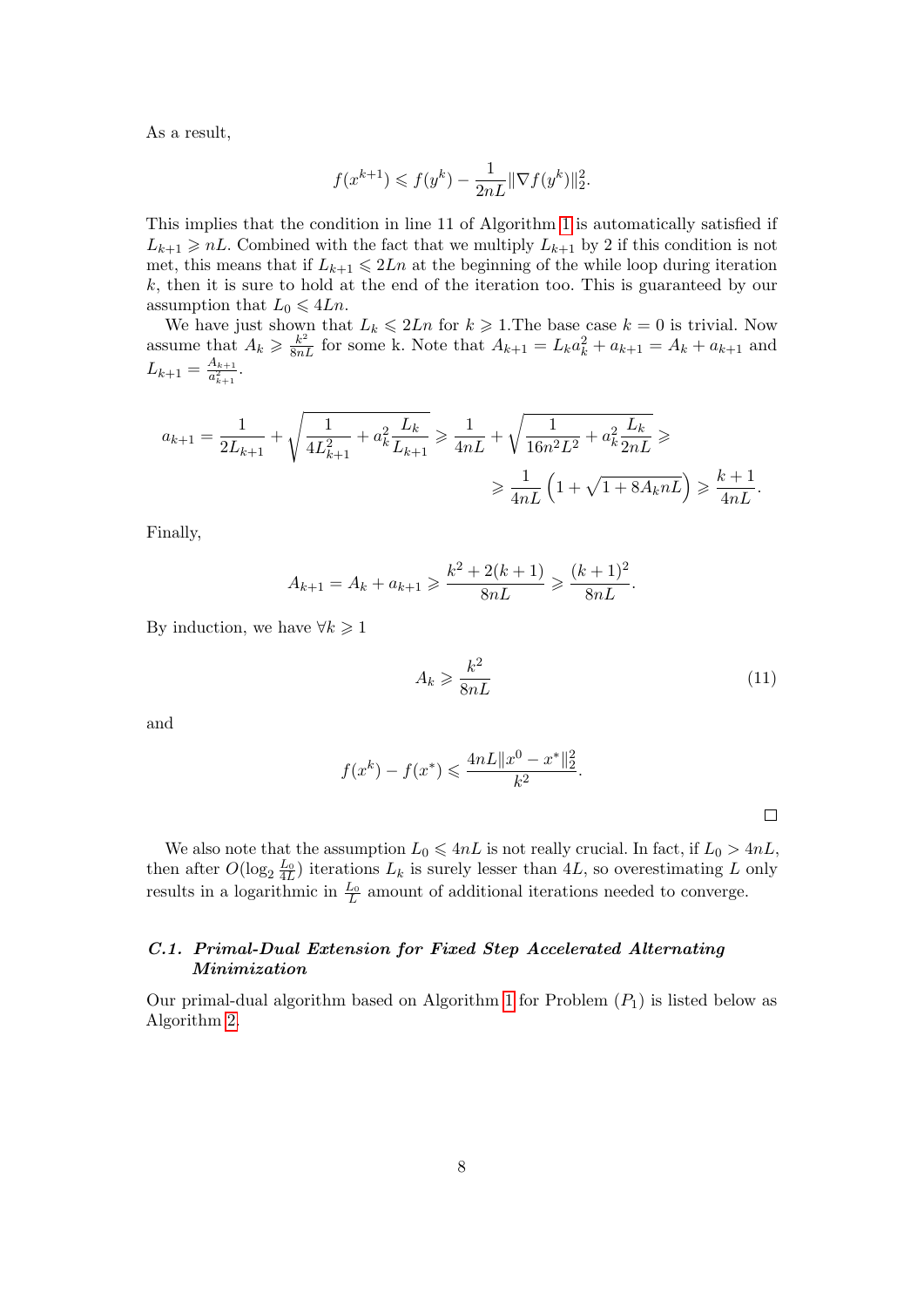As a result,

$$
f(x^{k+1}) \leq f(y^k) - \frac{1}{2nL} \|\nabla f(y^k)\|_2^2.
$$

This implies that the condition in line 11 of Algorithm [1](#page-4-1) is automatically satisfied if  $L_{k+1} \geq nL$ . Combined with the fact that we multiply  $L_{k+1}$  by 2 if this condition is not met, this means that if  $L_{k+1} \leq 2Ln$  at the beginning of the while loop during iteration  $k$ , then it is sure to hold at the end of the iteration too. This is guaranteed by our assumption that  $L_0 \leq 4Ln$ .

We have just shown that  $L_k \leq 2Ln$  for  $k \geq 1$ . The base case  $k = 0$  is trivial. Now assume that  $A_k \geqslant \frac{k^2}{8nL}$  for some k. Note that  $A_{k+1} = L_k a_k^2 + a_{k+1} = A_k + a_{k+1}$  and  $L_{k+1} = \frac{A_{k+1}}{a_{k+1}^2}$  $\frac{A_{k+1}}{a_{k+1}^2}.$ 

$$
a_{k+1} = \frac{1}{2L_{k+1}} + \sqrt{\frac{1}{4L_{k+1}^2} + a_k^2 \frac{L_k}{L_{k+1}}} \ge \frac{1}{4nL} + \sqrt{\frac{1}{16n^2L^2} + a_k^2 \frac{L_k}{2nL}} \ge \frac{1}{4nL} \left(1 + \sqrt{1 + 8A_k nL}\right) \ge \frac{k+1}{4nL}.
$$

Finally,

$$
A_{k+1} = A_k + a_{k+1} \ge \frac{k^2 + 2(k+1)}{8nL} \ge \frac{(k+1)^2}{8nL}
$$

By induction, we have  $\forall k \geq 1$ 

$$
A_k \geqslant \frac{k^2}{8nL} \tag{11}
$$

.

and

$$
f(x^{k}) - f(x^{*}) \leqslant \frac{4nL||x^{0} - x^{*}||_{2}^{2}}{k^{2}}.
$$

We also note that the assumption  $L_0 \leq 4nL$  is not really crucial. In fact, if  $L_0 > 4nL$ , then after  $O(\log_2 \frac{L_0}{4L})$  iterations  $L_k$  is surely lesser than 4L, so overestimating L only results in a logarithmic in  $\frac{L_0}{L}$  amount of additional iterations needed to converge.

# C.1. Primal-Dual Extension for Fixed Step Accelerated Alternating Minimization

Our primal-dual algorithm based on Algorithm [1](#page-4-1) for Problem  $(P_1)$  is listed below as Algorithm [2.](#page-8-0)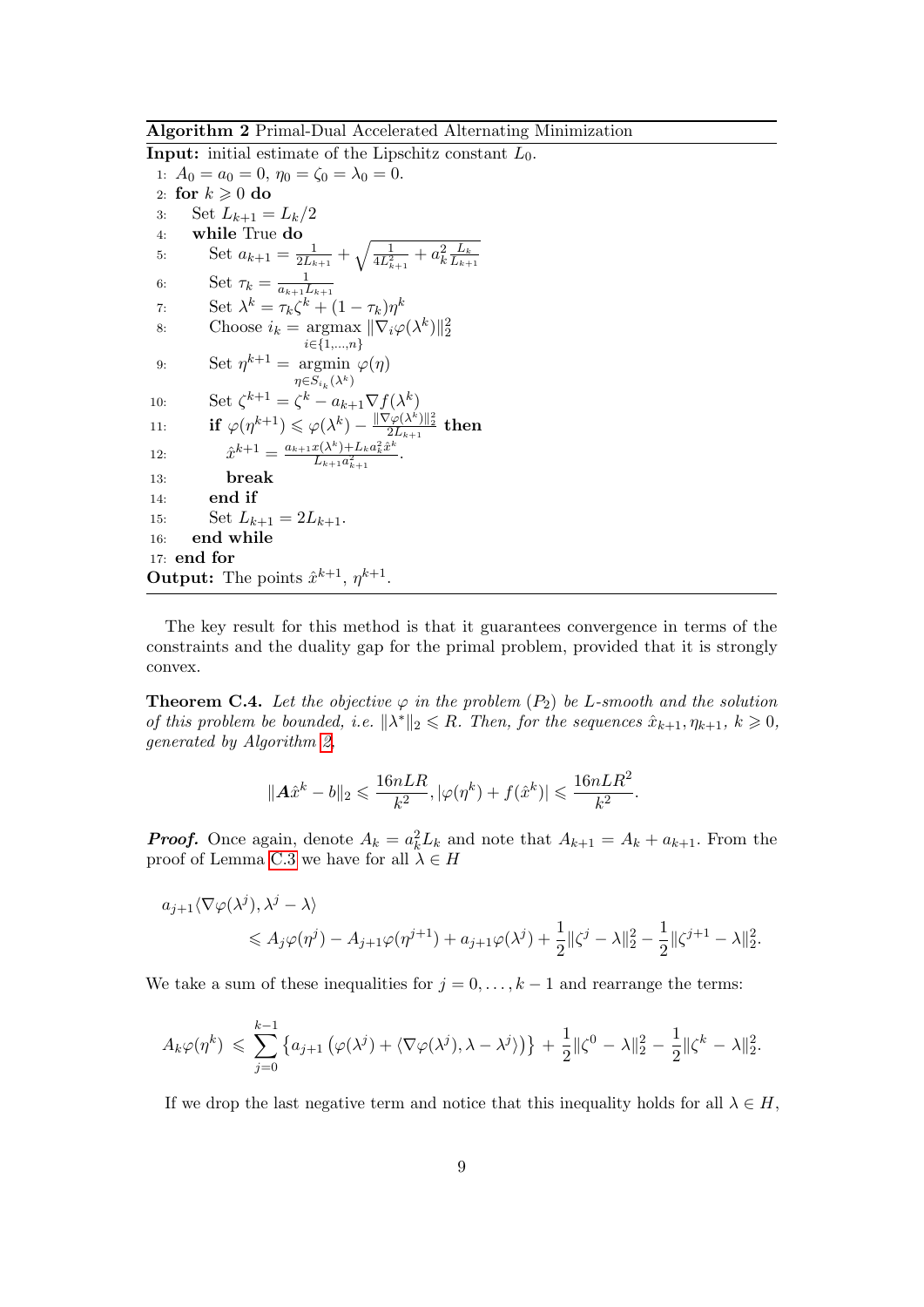Algorithm 2 Primal-Dual Accelerated Alternating Minimization

<span id="page-8-0"></span>**Input:** initial estimate of the Lipschitz constant  $L_0$ . 1:  $A_0 = a_0 = 0, \eta_0 = \zeta_0 = \lambda_0 = 0.$ 2: for  $k \geqslant 0$  do 3: Set  $L_{k+1} = L_k/2$ 4: while True do 5: Set  $a_{k+1} = \frac{1}{2L}$  $\frac{1}{2L_{k+1}}+\sqrt{\frac{1}{4L^2_{k+1}}+a^2_k\frac{L_k}{L_{k+1}}}$  $\overline{L_{k+1}}$ 6: Set  $\tau_k = \frac{1}{a_{k+1}}$  $\overline{a_{k+1}L_{k+1}}$ 7: Set  $\lambda^k = \tau_k \zeta^k + (1 - \tau_k) \eta^k$ 8: Choose  $i_k = \text{argmax}$ i∈{1,...,n}  $\|\nabla_i\varphi(\lambda^k)\|_2^2$ 9: Set  $\eta^{k+1} = \text{argmin } \varphi(\eta)$  $\eta {\in} S_{i_k}(\lambda^k)$ 10: Set  $\zeta^{k+1} = \zeta^k - a_{k+1} \nabla f(\lambda^k)$ 11:  $\qquad \qquad \textbf{if} \,\,\varphi(\eta^{k+1}) \leqslant \varphi(\lambda^k) - \frac{\|\nabla \varphi(\lambda^k)\|_2^2}{2L_{k+1}} \,\,\textbf{then}$ 12:  $\hat{x}^{k+1} = \frac{a_{k+1}x(\lambda^k) + L_k a_k^2 \hat{x}^k}{L_k a_k^2}$  $rac{x(\lambda^{\circ})+L_k a_k^{\circ} x^{\circ}}{L_{k+1} a_{k+1}^2}$ . 13: break 14: end if 15: Set  $L_{k+1} = 2L_{k+1}$ . 16: end while 17: end for **Output:** The points  $\hat{x}^{k+1}$ ,  $\eta^{k+1}$ .

The key result for this method is that it guarantees convergence in terms of the constraints and the duality gap for the primal problem, provided that it is strongly convex.

**Theorem C.4.** Let the objective  $\varphi$  in the problem  $(P_2)$  be L-smooth and the solution of this problem be bounded, i.e.  $\|\lambda^*\|_2 \leq R$ . Then, for the sequences  $\hat{x}_{k+1}, \eta_{k+1}, k \geq 0$ , generated by Algorithm [2,](#page-8-0)

$$
\|\mathbf{A}\hat{x}^k - b\|_2 \leqslant \frac{16nLR}{k^2}, |\varphi(\eta^k) + f(\hat{x}^k)| \leqslant \frac{16nLR^2}{k^2}.
$$

**Proof.** Once again, denote  $A_k = a_k^2 L_k$  and note that  $A_{k+1} = A_k + a_{k+1}$ . From the proof of Lemma [C.3](#page-5-2) we have for all  $\lambda \in H$ 

$$
a_{j+1}\langle \nabla \varphi(\lambda^j), \lambda^j - \lambda \rangle
$$
  
\$\leqslant A\_j \varphi(\eta^j) - A\_{j+1} \varphi(\eta^{j+1}) + a\_{j+1} \varphi(\lambda^j) + \frac{1}{2} ||\zeta^j - \lambda||\_2^2 - \frac{1}{2} ||\zeta^{j+1} - \lambda||\_2^2\$.

We take a sum of these inequalities for  $j = 0, \ldots, k-1$  and rearrange the terms:

$$
A_k\varphi(\eta^k) \leq \sum_{j=0}^{k-1} \left\{ a_{j+1} \left( \varphi(\lambda^j) + \langle \nabla \varphi(\lambda^j), \lambda - \lambda^j \rangle \right) \right\} + \frac{1}{2} ||\zeta^0 - \lambda||_2^2 - \frac{1}{2} ||\zeta^k - \lambda||_2^2.
$$

If we drop the last negative term and notice that this inequality holds for all  $\lambda \in H$ ,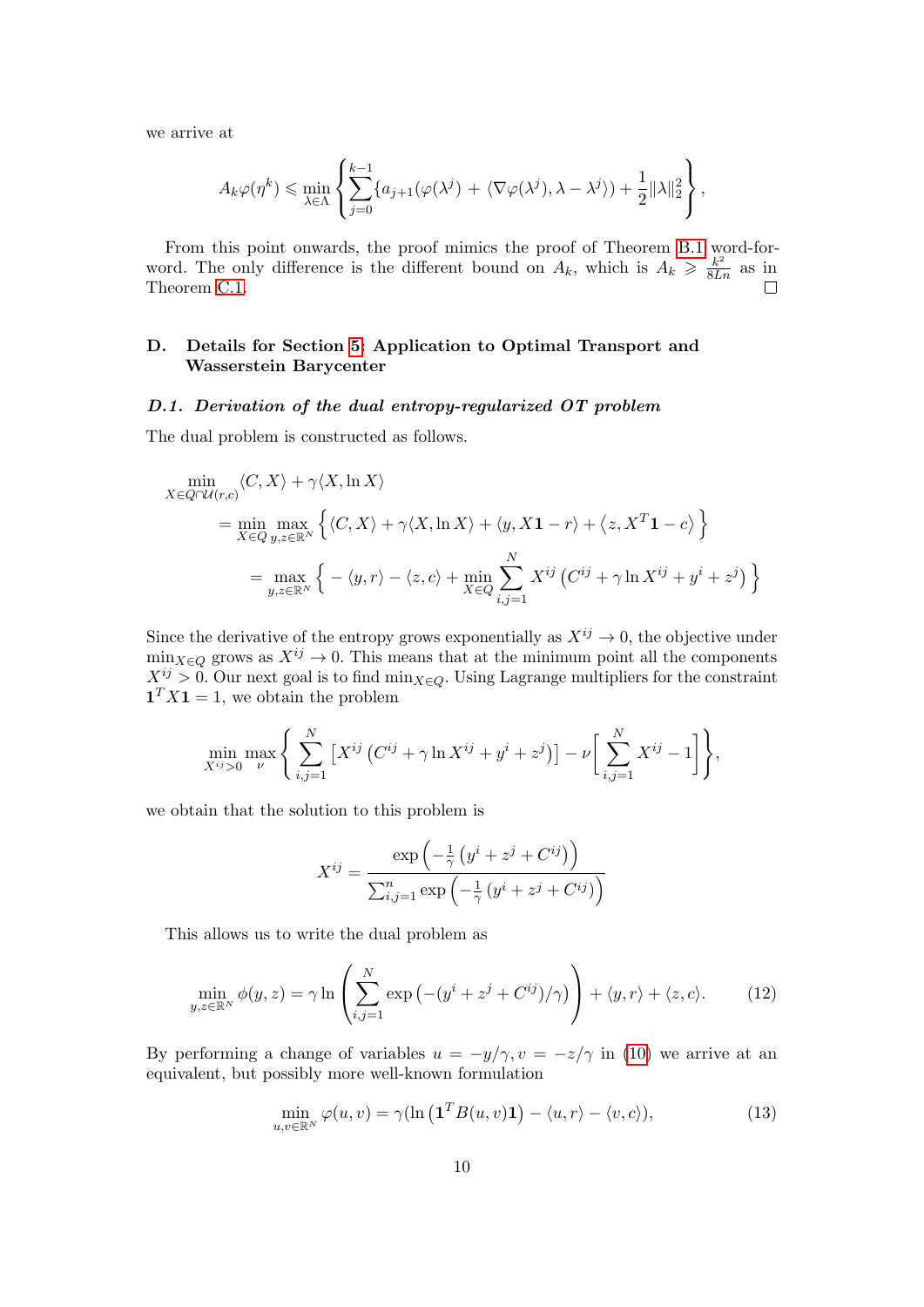we arrive at

$$
A_k \varphi(\eta^k) \leqslant \min_{\lambda \in \Lambda} \left\{ \sum_{j=0}^{k-1} \{ a_{j+1}(\varphi(\lambda^j) + \langle \nabla \varphi(\lambda^j), \lambda - \lambda^j \rangle ) + \frac{1}{2} ||\lambda||_2^2 \right\},\,
$$

From this point onwards, the proof mimics the proof of Theorem [B.1](#page-2-3) word-forword. The only difference is the different bound on  $A_k$ , which is  $A_k \geq \frac{k^2}{8Ln}$  as in Theorem [C.1.](#page-5-1)

# D. Details for Section [5:](#page-16-0) Application to Optimal Transport and Wasserstein Barycenter

#### D.1. Derivation of the dual entropy-regularized OT problem

The dual problem is constructed as follows.

$$
\min_{X \in Q \cap \mathcal{U}(r,c)} \langle C, X \rangle + \gamma \langle X, \ln X \rangle
$$
\n
$$
= \min_{X \in Q} \max_{y, z \in \mathbb{R}^N} \left\{ \langle C, X \rangle + \gamma \langle X, \ln X \rangle + \langle y, X \mathbf{1} - r \rangle + \langle z, X^T \mathbf{1} - c \rangle \right\}
$$
\n
$$
= \max_{y, z \in \mathbb{R}^N} \left\{ -\langle y, r \rangle - \langle z, c \rangle + \min_{X \in Q} \sum_{i,j=1}^N X^{ij} \left( C^{ij} + \gamma \ln X^{ij} + y^i + z^j \right) \right\}
$$

Since the derivative of the entropy grows exponentially as  $X^{ij} \to 0$ , the objective under  $\min_{X \in Q}$  grows as  $X^{ij} \to 0$ . This means that at the minimum point all the components  $X^{ij} > 0$ . Our next goal is to find min<sub>X∈Q</sub>. Using Lagrange multipliers for the constraint  $\mathbf{1}^T X \mathbf{1} = 1$ , we obtain the problem

$$
\min_{X^{ij}>0} \max_{\nu} \left\{ \sum_{i,j=1}^N \left[ X^{ij} \left( C^{ij} + \gamma \ln X^{ij} + y^i + z^j \right) \right] - \nu \left[ \sum_{i,j=1}^N X^{ij} - 1 \right] \right\},\,
$$

we obtain that the solution to this problem is

$$
X^{ij} = \frac{\exp\left(-\frac{1}{\gamma}\left(y^i + z^j + C^{ij}\right)\right)}{\sum_{i,j=1}^n \exp\left(-\frac{1}{\gamma}\left(y^i + z^j + C^{ij}\right)\right)}
$$

This allows us to write the dual problem as

$$
\min_{y,z \in \mathbb{R}^N} \phi(y,z) = \gamma \ln \left( \sum_{i,j=1}^N \exp\left( -\left(y^i + z^j + C^{ij}\right)/\gamma \right) \right) + \langle y, r \rangle + \langle z, c \rangle. \tag{12}
$$

By performing a change of variables  $u = -y/\gamma$ ,  $v = -z/\gamma$  in [\(10\)](#page-0-0) we arrive at an equivalent, but possibly more well-known formulation

<span id="page-9-0"></span>
$$
\min_{u,v \in \mathbb{R}^N} \varphi(u,v) = \gamma(\ln\left(\mathbf{1}^T B(u,v)\mathbf{1}\right) - \langle u, r \rangle - \langle v, c \rangle),\tag{13}
$$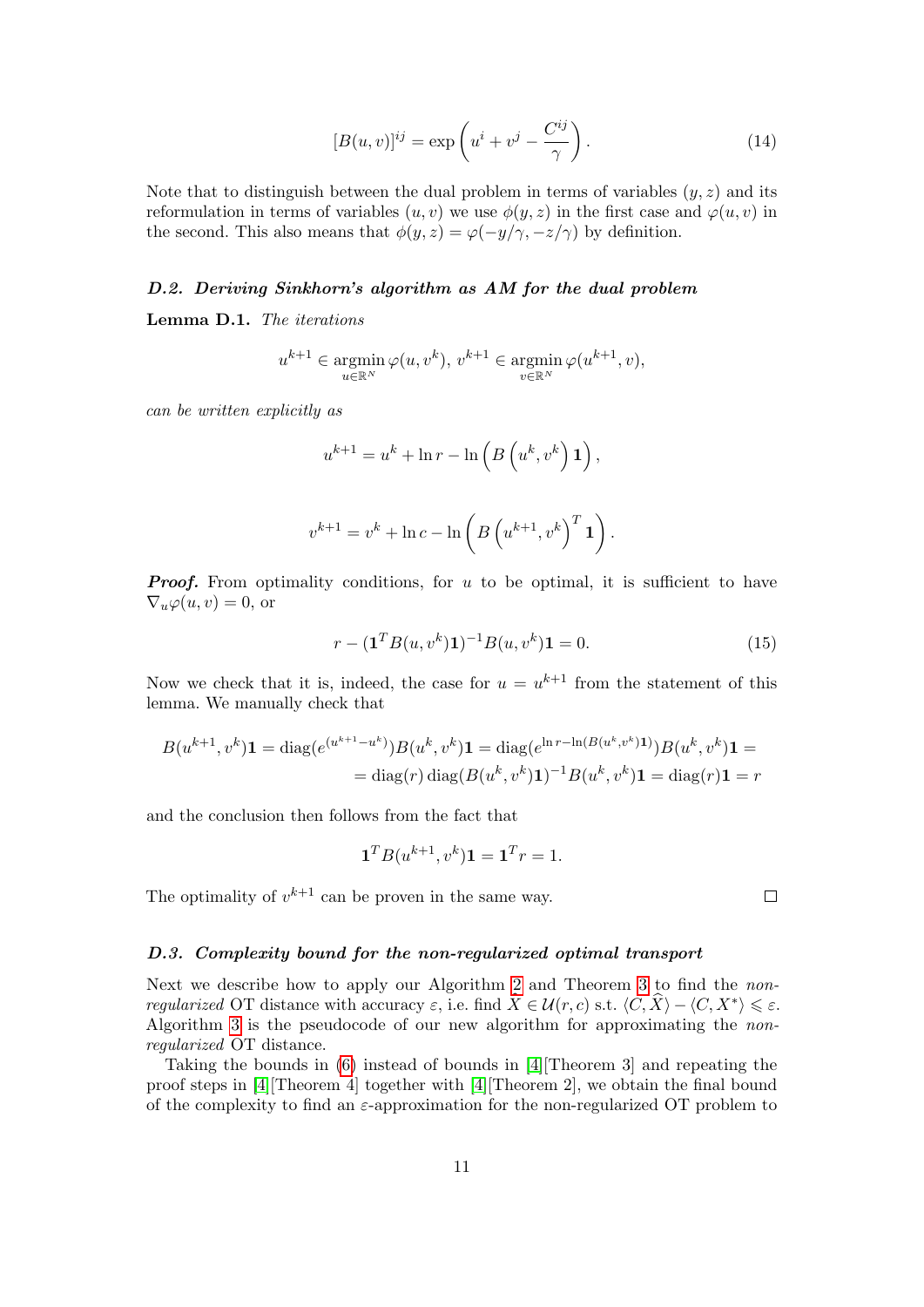$$
[B(u,v)]^{ij} = \exp\left(u^i + v^j - \frac{C^{ij}}{\gamma}\right).
$$
\n(14)

Note that to distinguish between the dual problem in terms of variables  $(y, z)$  and its reformulation in terms of variables  $(u, v)$  we use  $\phi(y, z)$  in the first case and  $\varphi(u, v)$  in the second. This also means that  $\phi(y, z) = \varphi(-y/\gamma, -z/\gamma)$  by definition.

#### D.2. Deriving Sinkhorn's algorithm as AM for the dual problem

<span id="page-10-0"></span>Lemma D.1. The iterations

$$
u^{k+1} \in \operatorname*{argmin}_{u \in \mathbb{R}^N} \varphi(u, v^k), v^{k+1} \in \operatorname*{argmin}_{v \in \mathbb{R}^N} \varphi(u^{k+1}, v),
$$

can be written explicitly as

$$
u^{k+1} = u^k + \ln r - \ln\left(B\left(u^k, v^k\right)\mathbf{1}\right),\,
$$

$$
v^{k+1} = v^k + \ln c - \ln \left( B \left( u^{k+1}, v^k \right)^T \mathbf{1} \right).
$$

**Proof.** From optimality conditions, for u to be optimal, it is sufficient to have  $\nabla_u \varphi(u, v) = 0$ , or

$$
r - (\mathbf{1}^T B(u, v^k) \mathbf{1})^{-1} B(u, v^k) \mathbf{1} = 0.
$$
 (15)

Now we check that it is, indeed, the case for  $u = u^{k+1}$  from the statement of this lemma. We manually check that

$$
B(u^{k+1}, v^k)\mathbf{1} = \text{diag}(e^{(u^{k+1}-u^k)})B(u^k, v^k)\mathbf{1} = \text{diag}(e^{\ln r - \ln(B(u^k, v^k)\mathbf{1})})B(u^k, v^k)\mathbf{1} =
$$
  
= diag(r) diag(B(u^k, v^k)\mathbf{1})^{-1}B(u^k, v^k)\mathbf{1} = diag(r)\mathbf{1} = r

and the conclusion then follows from the fact that

$$
\mathbf{1}^T B(u^{k+1}, v^k)\mathbf{1} = \mathbf{1}^T r = 1.
$$

The optimality of  $v^{k+1}$  can be proven in the same way.

 $\Box$ 

#### D.3. Complexity bound for the non-regularized optimal transport

Next we describe how to apply our Algorithm [2](#page-8-0) and Theorem [3](#page-0-0) to find the nonregularized OT distance with accuracy  $\varepsilon$ , i.e. find  $\widehat{X} \in \mathcal{U}(r, c)$  s.t.  $\langle C, \widehat{X} \rangle - \langle C, X^* \rangle \leq \varepsilon$ . Algorithm [3](#page-11-0) is the pseudocode of our new algorithm for approximating the nonregularized OT distance.

Taking the bounds in [\(6\)](#page-0-0) instead of bounds in [\[4\]](#page-28-2)[Theorem 3] and repeating the proof steps in [\[4\]](#page-28-2)[Theorem 4] together with [\[4\]](#page-28-2)[Theorem 2], we obtain the final bound of the complexity to find an  $\varepsilon$ -approximation for the non-regularized OT problem to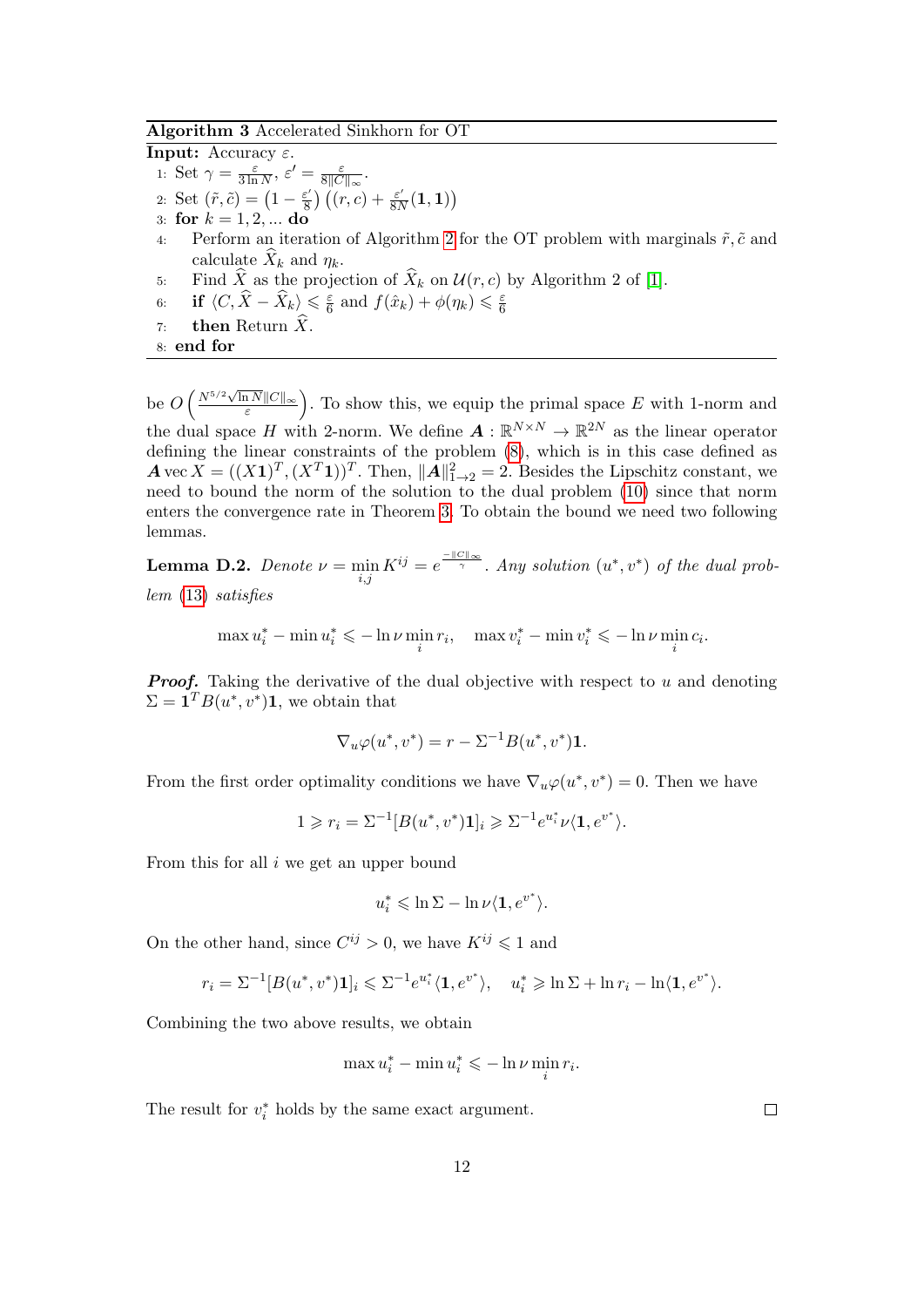# Algorithm 3 Accelerated Sinkhorn for OT

<span id="page-11-0"></span>**Input:** Accuracy  $\varepsilon$ . 1: Set  $\gamma = \frac{\varepsilon}{3 \ln \pi}$  $\frac{\varepsilon}{3 \ln N}, \varepsilon' = \frac{\varepsilon}{8 \mid C}$  $\frac{\varepsilon}{8\|C\|_{\infty}}.$ 2: Set  $(\tilde{r}, \tilde{c}) = \left(1 - \frac{\varepsilon'}{8}\right)$  $(\epsilon) \over 8) ((r, c) + \frac{\varepsilon'}{8N})$  $\frac{\varepsilon'}{8N}({\bf 1},{\bf 1})\big)$ 3: for  $k = 1, 2, ...$  do 4: Perform an iteration of Algorithm [2](#page-8-0) for the OT problem with marginals  $\tilde{r}, \tilde{c}$  and calculate  $X_k$  and  $\eta_k$ . 5: Find  $\widehat{X}$  as the projection of  $\widehat{X}_k$  on  $\mathcal{U}(r, c)$  by Algorithm 2 of [\[1\]](#page-28-3).<br>6: **if**  $\langle C, \widehat{X} - \widehat{X}_k \rangle \leq \frac{\varepsilon}{6}$  and  $f(\widehat{x}_k) + \phi(\eta_k) \leq \frac{\varepsilon}{6}$ 6: if  $\langle C, \widehat{X}-\widehat{X}_k \rangle$   $\leqslant \frac{\varepsilon}{6}$  $\frac{\varepsilon}{6}$  and  $f(\hat{x}_k) + \phi(\eta_k) \leq \frac{\varepsilon}{6}$ 6 7: then Return  $\widehat{X}$ . 8: end for

be  $O\left(\frac{N^{5/2}\sqrt{\ln N}\|C\|_{\infty}}{\varepsilon}\right)$  $\frac{1}{\varepsilon} \frac{N||C||_{\infty}}{\varepsilon}$ . To show this, we equip the primal space E with 1-norm and the dual space H with 2-norm. We define  $A: \mathbb{R}^{N \times N} \to \mathbb{R}^{2N}$  as the linear operator defining the linear constraints of the problem [\(8\)](#page-0-0), which is in this case defined as  $\mathbf{A} \text{ vec } X = ((X \mathbf{1})^T, (X^T \mathbf{1}))^T$ . Then,  $\|\mathbf{A}\|_{1 \to 2}^2 = 2$ . Besides the Lipschitz constant, we need to bound the norm of the solution to the dual problem [\(10\)](#page-0-0) since that norm enters the convergence rate in Theorem [3.](#page-0-0) To obtain the bound we need two following lemmas.

<span id="page-11-2"></span>**Lemma D.2.** Denote  $\nu = \min_{i,j} K^{ij} = e^{\frac{-\|\mathcal{C}\|_{\infty}}{\gamma}}$ . Any solution  $(u^*, v^*)$  of the dual problem [\(13\)](#page-9-0) satisfies

<span id="page-11-1"></span>
$$
\max u_i^* - \min u_i^* \leqslant -\ln \nu \min_i r_i, \quad \max v_i^* - \min v_i^* \leqslant -\ln \nu \min_i c_i.
$$

**Proof.** Taking the derivative of the dual objective with respect to u and denoting  $\Sigma = \mathbf{1}^T B(u^*, v^*) \mathbf{1}$ , we obtain that

$$
\nabla_u \varphi(u^*, v^*) = r - \Sigma^{-1} B(u^*, v^*) \mathbf{1}.
$$

From the first order optimality conditions we have  $\nabla_u \varphi(u^*, v^*) = 0$ . Then we have

$$
1 \geq r_i = \Sigma^{-1} [B(u^*, v^*) \mathbf{1}]_i \geq \Sigma^{-1} e^{u^*} \nu \langle \mathbf{1}, e^{v^*} \rangle.
$$

From this for all i we get an upper bound

$$
u_i^* \leqslant \ln \Sigma - \ln \nu \langle \mathbf{1}, e^{v^*} \rangle.
$$

On the other hand, since  $C^{ij} > 0$ , we have  $K^{ij} \leq 1$  and

$$
r_i = \Sigma^{-1}[B(u^*, v^*)\mathbf{1}]_i \leq \Sigma^{-1} e^{u_i^*} \langle \mathbf{1}, e^{v^*} \rangle, \quad u_i^* \geq \ln \Sigma + \ln r_i - \ln \langle \mathbf{1}, e^{v^*} \rangle.
$$

Combining the two above results, we obtain

$$
\max u_i^* - \min u_i^* \leqslant -\ln \nu \min_i r_i.
$$

The result for  $v_i^*$  holds by the same exact argument.

 $\Box$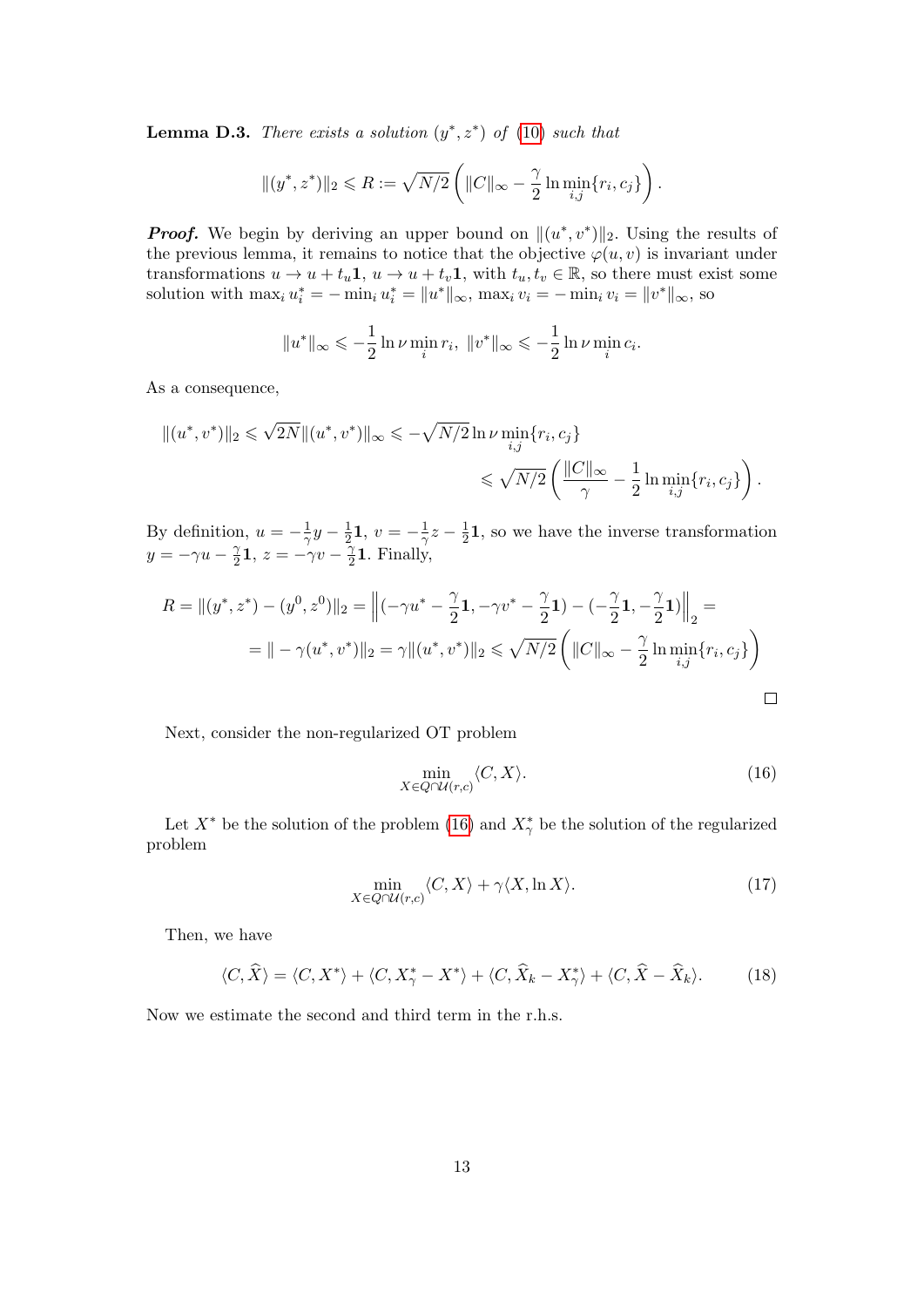<span id="page-12-1"></span>**Lemma D.3.** There exists a solution  $(y^*, z^*)$  of [\(10\)](#page-0-0) such that

$$
||(y^*,z^*)||_2 \le R := \sqrt{N/2} \left( ||C||_{\infty} - \frac{\gamma}{2} \ln \min_{i,j} \{r_i,c_j\} \right).
$$

**Proof.** We begin by deriving an upper bound on  $\|(u^*, v^*)\|_2$ . Using the results of the previous lemma, it remains to notice that the objective  $\varphi(u, v)$  is invariant under transformations  $u \to u + t_u \mathbf{1}, u \to u + t_v \mathbf{1}$ , with  $t_u, t_v \in \mathbb{R}$ , so there must exist some solution with  $\max_i u_i^* = -\min_i u_i^* = ||u^*||_{\infty}$ ,  $\max_i v_i = -\min_i v_i = ||v^*||_{\infty}$ , so

$$
||u^*||_{\infty} \leq -\frac{1}{2} \ln \nu \min_{i} r_i, ||v^*||_{\infty} \leq -\frac{1}{2} \ln \nu \min_{i} c_i.
$$

As a consequence,

$$
||(u^*, v^*)||_2 \le \sqrt{2N}||(u^*, v^*)||_{\infty} \le -\sqrt{N/2}\ln \nu \min_{i,j}\{r_i, c_j\}
$$
  

$$
\le \sqrt{N/2}\left(\frac{||C||_{\infty}}{\gamma} - \frac{1}{2}\ln \min_{i,j}\{r_i, c_j\}\right).
$$

By definition,  $u = -\frac{1}{2}$  $\frac{1}{\gamma}y-\frac{1}{2}$  $\frac{1}{2}\mathbf{1}, v = -\frac{1}{\gamma}$  $\frac{1}{\gamma}z-\frac{1}{2}$  $\frac{1}{2}$ **1**, so we have the inverse transformation  $y = -\gamma u - \frac{\gamma}{2}$  $\frac{\gamma}{2}\mathbf{1},\,z=-\gamma v-\frac{\gamma}{2}$  $\frac{\gamma}{2}$ 1. Finally,

$$
R = ||(y^*, z^*) - (y^0, z^0)||_2 = \left\|(-\gamma u^* - \frac{\gamma}{2}\mathbf{1}, -\gamma v^* - \frac{\gamma}{2}\mathbf{1}) - (-\frac{\gamma}{2}\mathbf{1}, -\frac{\gamma}{2}\mathbf{1})\right\|_2 =
$$
  
= 
$$
|| -\gamma(u^*, v^*)||_2 = \gamma ||(u^*, v^*)||_2 \le \sqrt{N/2} \left(||C||_{\infty} - \frac{\gamma}{2} \ln \min_{i,j} \{r_i, c_j\}\right)
$$

Next, consider the non-regularized OT problem

$$
\min_{X \in Q \cap \mathcal{U}(r,c)} \langle C, X \rangle. \tag{16}
$$

Let  $X^*$  be the solution of the problem [\(16\)](#page-11-1) and  $X^*_{\gamma}$  be the solution of the regularized problem

$$
\min_{X \in Q \cap \mathcal{U}(r,c)} \langle C, X \rangle + \gamma \langle X, \ln X \rangle. \tag{17}
$$

Then, we have

<span id="page-12-0"></span>
$$
\langle C, \widehat{X} \rangle = \langle C, X^* \rangle + \langle C, X^*_{\gamma} - X^* \rangle + \langle C, \widehat{X}_k - X^*_{\gamma} \rangle + \langle C, \widehat{X} - \widehat{X}_k \rangle. \tag{18}
$$

Now we estimate the second and third term in the r.h.s.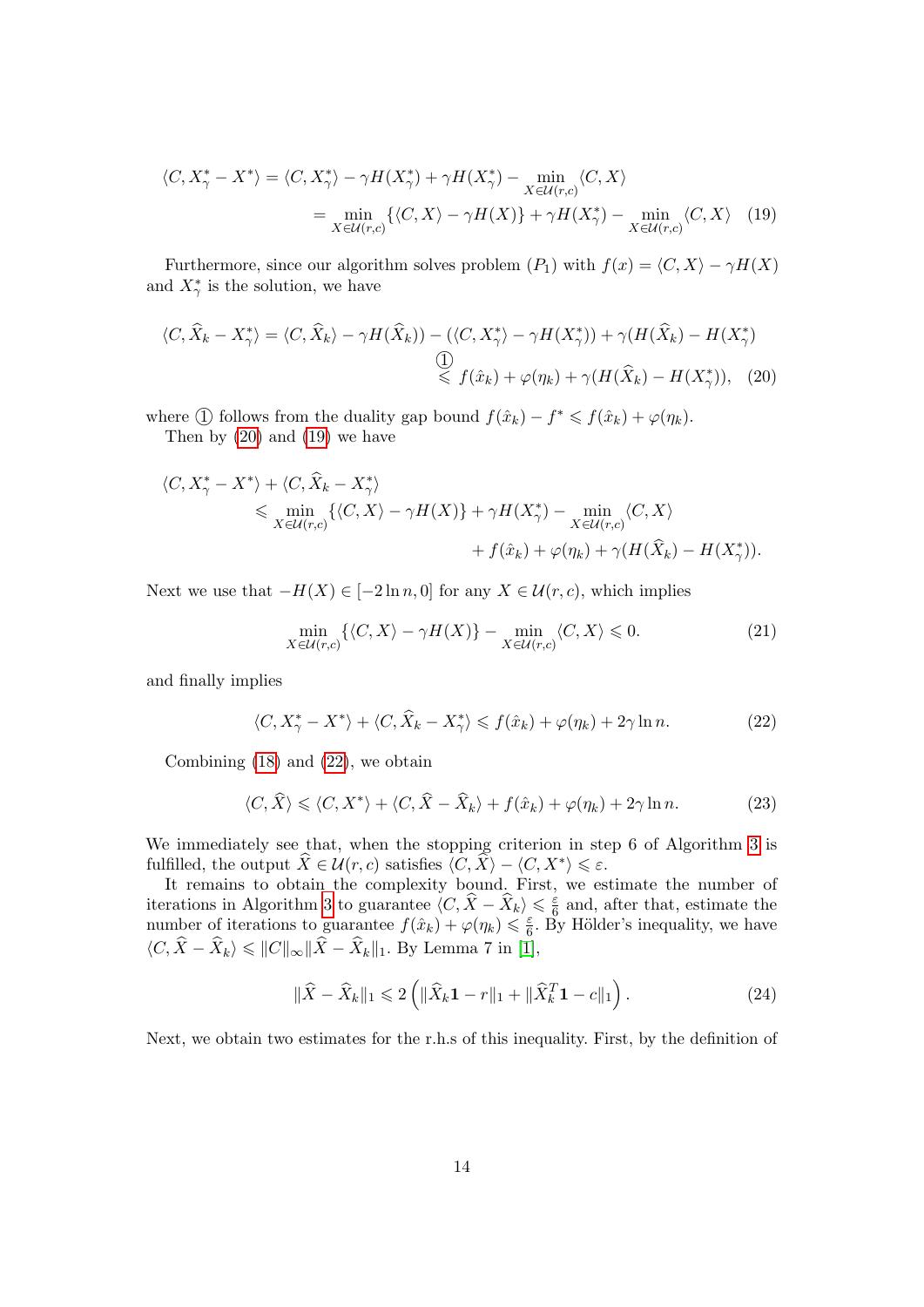<span id="page-13-1"></span>
$$
\langle C, X_{\gamma}^* - X^* \rangle = \langle C, X_{\gamma}^* \rangle - \gamma H(X_{\gamma}^*) + \gamma H(X_{\gamma}^*) - \min_{X \in \mathcal{U}(r,c)} \langle C, X \rangle
$$
  
= 
$$
\min_{X \in \mathcal{U}(r,c)} \{ \langle C, X \rangle - \gamma H(X) \} + \gamma H(X_{\gamma}^*) - \min_{X \in \mathcal{U}(r,c)} \langle C, X \rangle \quad (19)
$$

Furthermore, since our algorithm solves problem  $(P_1)$  with  $f(x) = \langle C, X \rangle - \gamma H(X)$ and  $X^*_{\gamma}$  is the solution, we have

$$
\langle C, \hat{X}_k - X^*_{\gamma} \rangle = \langle C, \hat{X}_k \rangle - \gamma H(\hat{X}_k) \rangle - (\langle C, X^*_{\gamma} \rangle - \gamma H(X^*_{\gamma})) + \gamma (H(\hat{X}_k) - H(X^*_{\gamma}))
$$
  
\n
$$
\overset{\text{(1)}}{\leq} f(\hat{x}_k) + \varphi(\eta_k) + \gamma (H(\hat{X}_k) - H(X^*_{\gamma})), \quad (20)
$$

where ① follows from the duality gap bound  $f(\hat{x}_k) - f^* \leq f(\hat{x}_k) + \varphi(\eta_k)$ .

Then by [\(20\)](#page-13-0) and [\(19\)](#page-13-1) we have

$$
\langle C, X_{\gamma}^* - X^* \rangle + \langle C, \widehat{X}_k - X_{\gamma}^* \rangle
$$
  
\$\leq\$ min<sub>X \in U(r,c)</sub> { $\langle C, X \rangle - \gamma H(X) \rangle + \gamma H(X_{\gamma}^*) - \min_{X \in U(r,c)} \langle C, X \rangle$   
 $+ f(\hat{x}_k) + \varphi(\eta_k) + \gamma (H(\widehat{X}_k) - H(X_{\gamma}^*)).$ 

Next we use that  $-H(X) \in [-2 \ln n, 0]$  for any  $X \in \mathcal{U}(r, c)$ , which implies

<span id="page-13-0"></span>
$$
\min_{X \in \mathcal{U}(r,c)} \{ \langle C, X \rangle - \gamma H(X) \} - \min_{X \in \mathcal{U}(r,c)} \langle C, X \rangle \leq 0. \tag{21}
$$

and finally implies

<span id="page-13-2"></span>
$$
\langle C, X_{\gamma}^* - X^* \rangle + \langle C, \hat{X}_k - X_{\gamma}^* \rangle \leq f(\hat{x}_k) + \varphi(\eta_k) + 2\gamma \ln n. \tag{22}
$$

Combining [\(18\)](#page-12-0) and [\(22\)](#page-13-2), we obtain

$$
\langle C, \hat{X} \rangle \leq \langle C, X^* \rangle + \langle C, \hat{X} - \hat{X}_k \rangle + f(\hat{x}_k) + \varphi(\eta_k) + 2\gamma \ln n. \tag{23}
$$

We immediately see that, when the stopping criterion in step 6 of Algorithm [3](#page-11-0) is fulfilled, the output  $\widehat{X} \in \mathcal{U}(r, c)$  satisfies  $\langle C, \widehat{X} \rangle - \langle C, X^* \rangle \leq \varepsilon$ .

It remains to obtain the complexity bound. First, we estimate the number of iterations in Algorithm [3](#page-11-0) to guarantee  $\langle C, \hat{X} - \hat{X}_k \rangle \leq \frac{\varepsilon}{6}$  $\frac{\varepsilon}{6}$  and, after that, estimate the number of iterations to guarantee  $f(\hat{x}_k) + \varphi(\eta_k) \leq \frac{\varepsilon}{6}$  $\frac{\varepsilon}{6}$ . By Hölder's inequality, we have  $\langle C, \hat{X} - \hat{X}_k \rangle \leq ||C||_{\infty} ||\hat{X} - \hat{X}_k||_1$ . By Lemma 7 in [\[1\]](#page-28-3),

<span id="page-13-3"></span>
$$
\|\hat{X} - \hat{X}_k\|_1 \leq 2\left(\|\hat{X}_k\mathbf{1} - r\|_1 + \|\hat{X}_k^T\mathbf{1} - c\|_1\right). \tag{24}
$$

Next, we obtain two estimates for the r.h.s of this inequality. First, by the definition of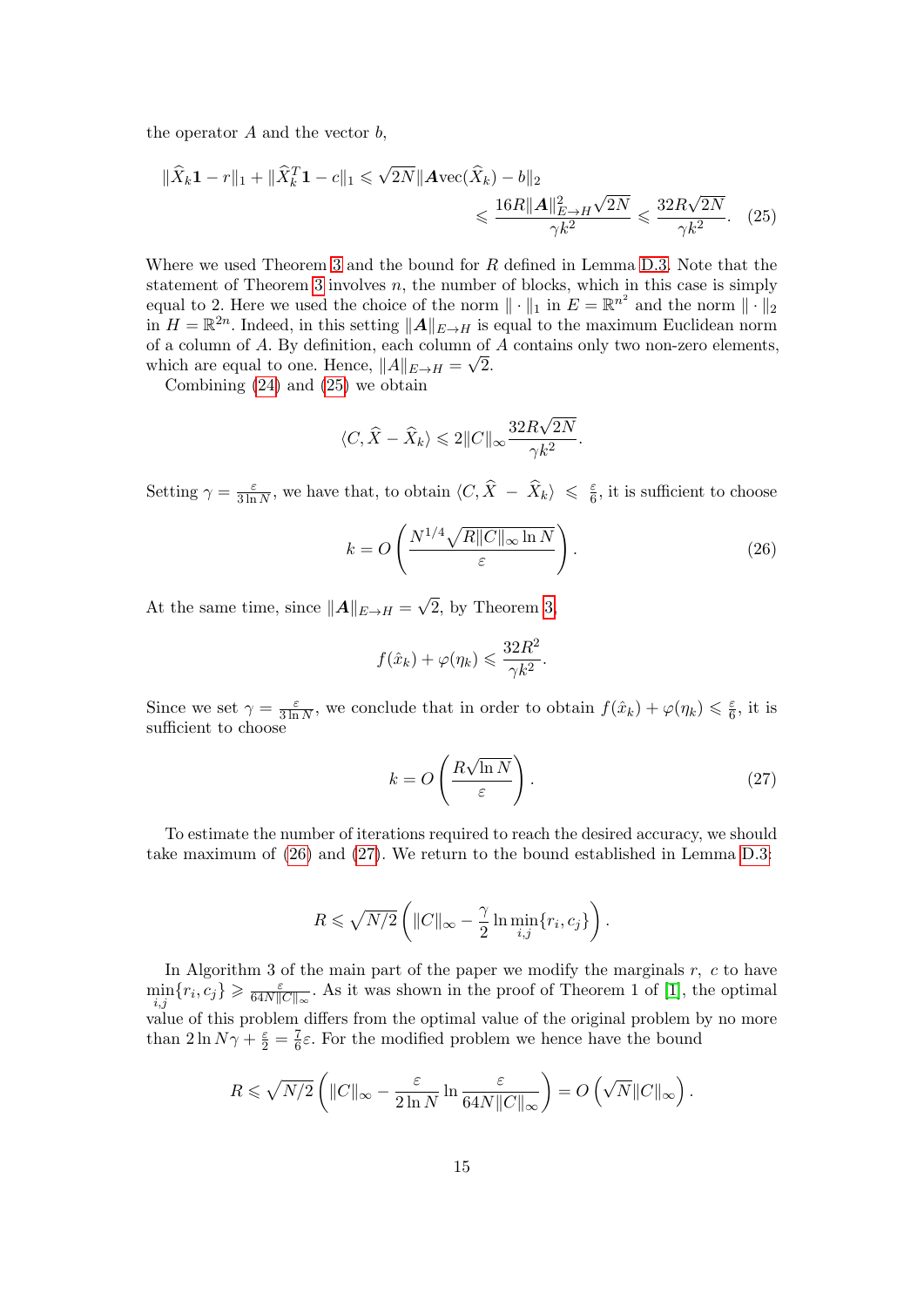the operator  $A$  and the vector  $b$ ,

$$
\|\hat{X}_k \mathbf{1} - r\|_1 + \|\hat{X}_k^T \mathbf{1} - c\|_1 \le \sqrt{2N} \|\mathbf{A} \text{vec}(\hat{X}_k) - b\|_2
$$
  

$$
\le \frac{16R \|\mathbf{A}\|_{E \to H}^2 \sqrt{2N}}{\gamma k^2} \le \frac{32R\sqrt{2N}}{\gamma k^2}.
$$
 (25)

Where we used Theorem [3](#page-0-0) and the bound for R defined in Lemma [D.3.](#page-12-1) Note that the statement of Theorem [3](#page-0-0) involves  $n$ , the number of blocks, which in this case is simply equal to 2. Here we used the choice of the norm  $\|\cdot\|_1$  in  $E = \mathbb{R}^{n^2}$  and the norm  $\|\cdot\|_2$ in  $H = \mathbb{R}^{2n}$ . Indeed, in this setting  $||A||_{E\to H}$  is equal to the maximum Euclidean norm of a column of A. By definition, each column of A contains only two non-zero elements, which are equal to one. Hence,  $||A||_{E\rightarrow H} = \sqrt{2}$ .

Combining [\(24\)](#page-13-3) and [\(25\)](#page-14-0) we obtain

<span id="page-14-0"></span>
$$
\langle C, \hat{X} - \hat{X}_k \rangle \leq 2||C||_{\infty} \frac{32R\sqrt{2N}}{\gamma k^2}.
$$

Setting  $\gamma = \frac{\varepsilon}{3 \ln \pi}$  $\frac{\varepsilon}{3\ln N}$ , we have that, to obtain  $\langle C, \hat{X} - \hat{X}_k \rangle \leq \frac{\varepsilon}{6}$  $\frac{\varepsilon}{6}$ , it is sufficient to choose

<span id="page-14-1"></span>
$$
k = O\left(\frac{N^{1/4}\sqrt{R||C||_{\infty}\ln N}}{\varepsilon}\right).
$$
 (26)

At the same time, since  $||A||_{E\rightarrow H} =$ √ 2, by Theorem [3,](#page-0-0)

$$
f(\hat{x}_k) + \varphi(\eta_k) \leqslant \frac{32R^2}{\gamma k^2}.
$$

Since we set  $\gamma = \frac{\varepsilon}{3 \ln \pi}$  $\frac{\varepsilon}{3 \ln N}$ , we conclude that in order to obtain  $f(\hat{x}_k) + \varphi(\eta_k) \leq \frac{\varepsilon}{6}$  $\frac{\varepsilon}{6}$ , it is sufficient to choose

<span id="page-14-2"></span>
$$
k = O\left(\frac{R\sqrt{\ln N}}{\varepsilon}\right). \tag{27}
$$

To estimate the number of iterations required to reach the desired accuracy, we should take maximum of [\(26\)](#page-14-1) and [\(27\)](#page-14-2). We return to the bound established in Lemma [D.3:](#page-12-1)

$$
R \leqslant \sqrt{N/2} \left( ||C||_{\infty} - \frac{\gamma}{2} \ln \min_{i,j} \{r_i, c_j\} \right).
$$

In Algorithm 3 of the main part of the paper we modify the marginals  $r, c$  to have  $\min_{i,j} \{r_i, c_j\} \geqslant \frac{\varepsilon}{64N \|}$  $\frac{\varepsilon}{64N||C||_{\infty}}$ . As it was shown in the proof of Theorem 1 of [\[1\]](#page-28-3), the optimal value of this problem differs from the optimal value of the original problem by no more than  $2 \ln N \gamma + \frac{\varepsilon}{2} = \frac{7}{6}$  $\frac{7}{6}\varepsilon$ . For the modified problem we hence have the bound

$$
R \leqslant \sqrt{N/2} \left( \|C\|_\infty - \frac{\varepsilon}{2 \ln N} \ln \frac{\varepsilon}{64N \|C\|_\infty} \right) = O\left(\sqrt{N} \|C\|_\infty\right).
$$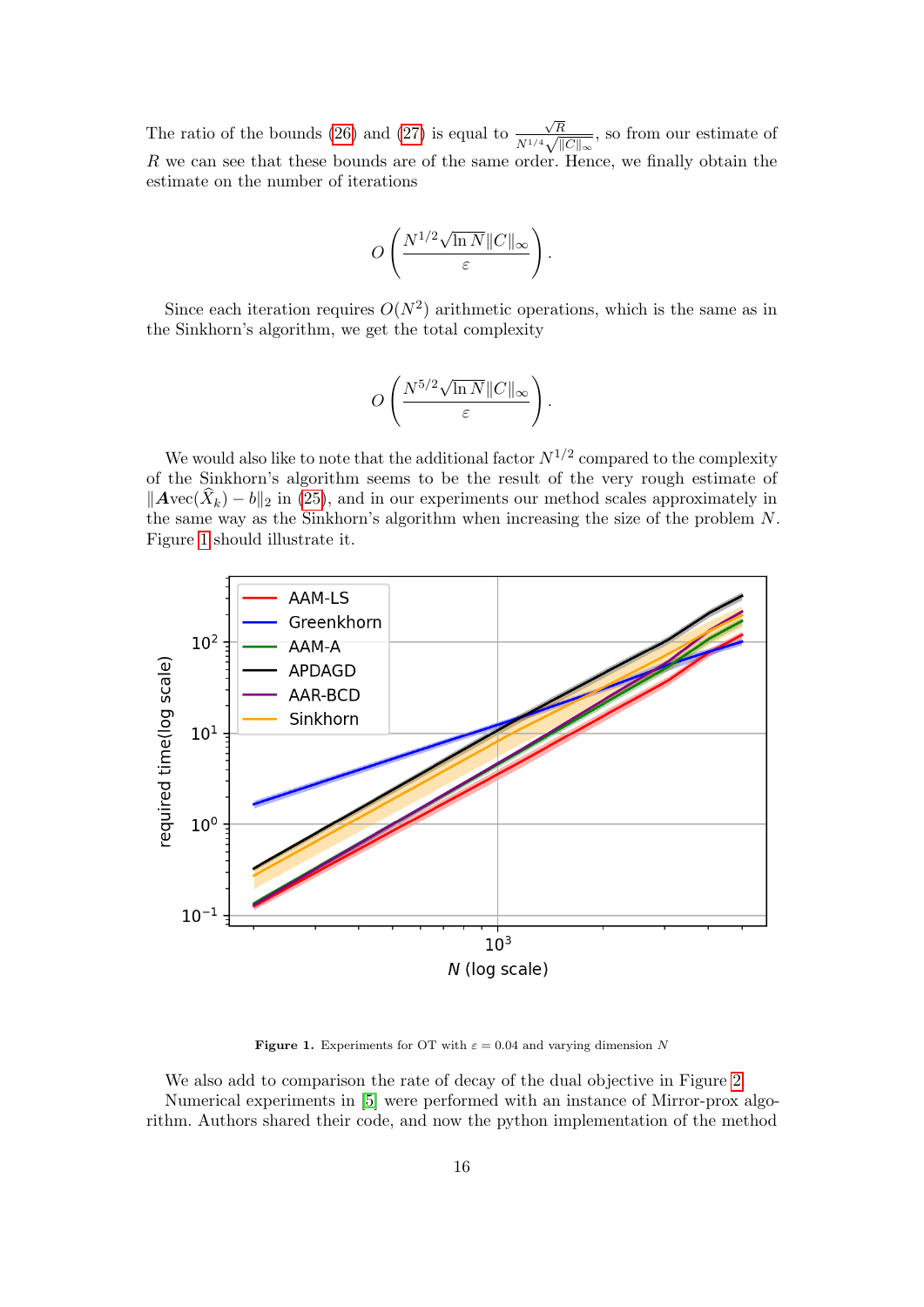The ratio of the bounds [\(26\)](#page-14-1) and [\(27\)](#page-14-2) is equal to √ R  $\frac{\sqrt{R}}{N^{1/4}\sqrt{\|C\|_{\infty}}},$  so from our estimate of R we can see that these bounds are of the same order. Hence, we finally obtain the estimate on the number of iterations

$$
O\left(\frac{N^{1/2}\sqrt{\ln N}\|C\|_\infty}{\varepsilon}\right).
$$

Since each iteration requires  $O(N^2)$  arithmetic operations, which is the same as in the Sinkhorn's algorithm, we get the total complexity

$$
O\left(\frac{N^{5/2}\sqrt{\ln N}\|C\|_\infty}{\varepsilon}\right).
$$

We would also like to note that the additional factor  $N^{1/2}$  compared to the complexity of the Sinkhorn's algorithm seems to be the result of the very rough estimate of  $\|\text{Avec}(\hat{X}_k) - b\|_2$  in [\(25\)](#page-14-0), and in our experiments our method scales approximately in the same way as the Sinkhorn's algorithm when increasing the size of the problem N. Figure [1](#page-15-0) should illustrate it.



<span id="page-15-0"></span>**Figure 1.** Experiments for OT with  $\varepsilon = 0.04$  and varying dimension N

We also add to comparison the rate of decay of the dual objective in Figure [2.](#page-16-1) Numerical experiments in [\[5\]](#page-28-4) were performed with an instance of Mirror-prox algorithm. Authors shared their code, and now the python implementation of the method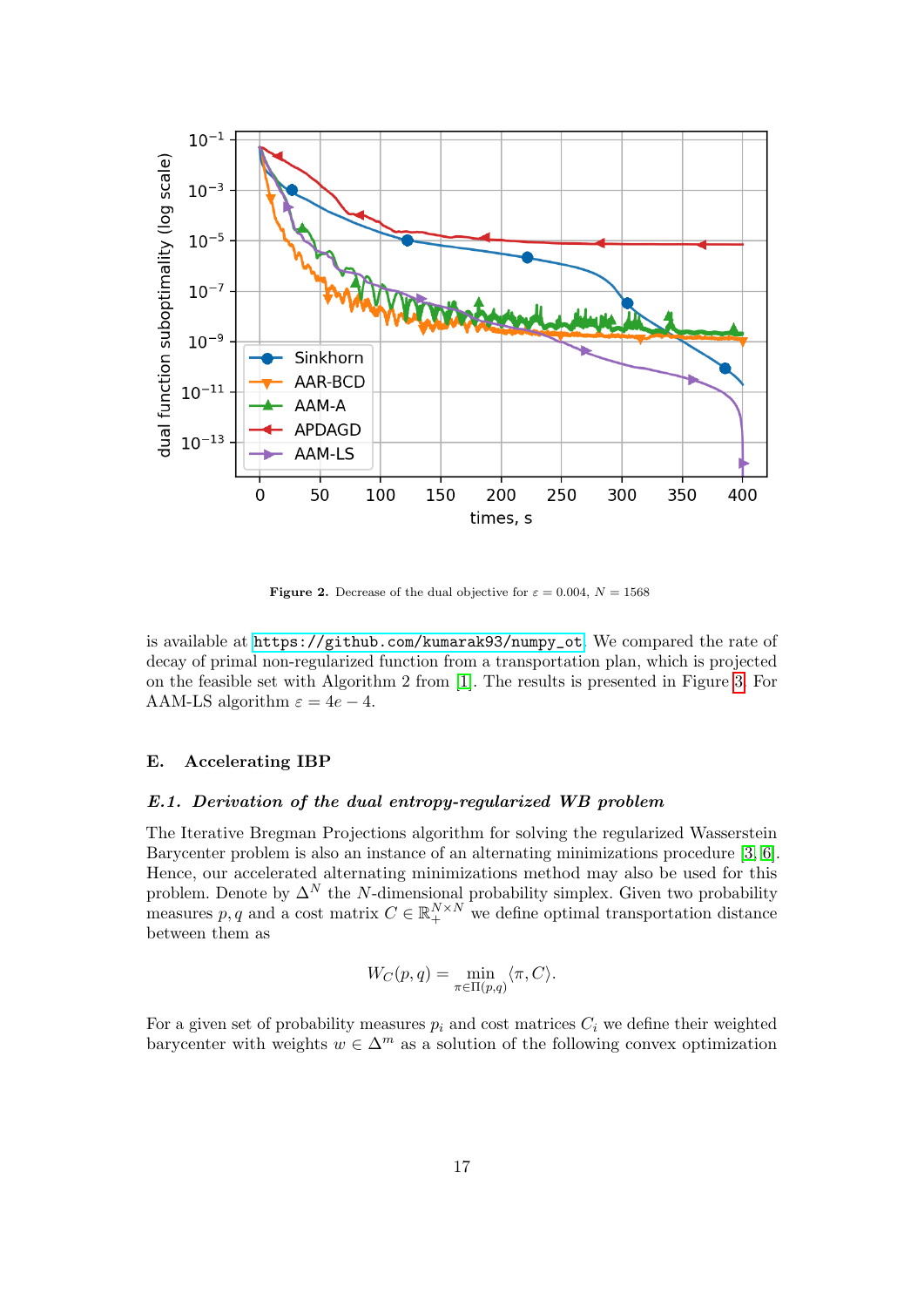

<span id="page-16-1"></span>**Figure 2.** Decrease of the dual objective for  $\varepsilon = 0.004$ ,  $N = 1568$ 

is available at [https://github.com/kumarak93/numpy\\_ot](https://github.com/kumarak93/numpy_ot). We compared the rate of decay of primal non-regularized function from a transportation plan, which is projected on the feasible set with Algorithm 2 from [\[1\]](#page-28-3). The results is presented in Figure [3.](#page-17-0) For AAM-LS algorithm  $\varepsilon = 4e - 4$ .

#### <span id="page-16-0"></span>E. Accelerating IBP

#### E.1. Derivation of the dual entropy-regularized WB problem

The Iterative Bregman Projections algorithm for solving the regularized Wasserstein Barycenter problem is also an instance of an alternating minimizations procedure [\[3,](#page-28-5) [6\]](#page-28-6). Hence, our accelerated alternating minimizations method may also be used for this problem. Denote by  $\Delta^N$  the N-dimensional probability simplex. Given two probability measures p, q and a cost matrix  $C \in \mathbb{R}_+^{N \times N}$  we define optimal transportation distance between them as

$$
W_C(p,q) = \min_{\pi \in \Pi(p,q)} \langle \pi, C \rangle.
$$

For a given set of probability measures  $p_i$  and cost matrices  $C_i$  we define their weighted barycenter with weights  $w \in \Delta^m$  as a solution of the following convex optimization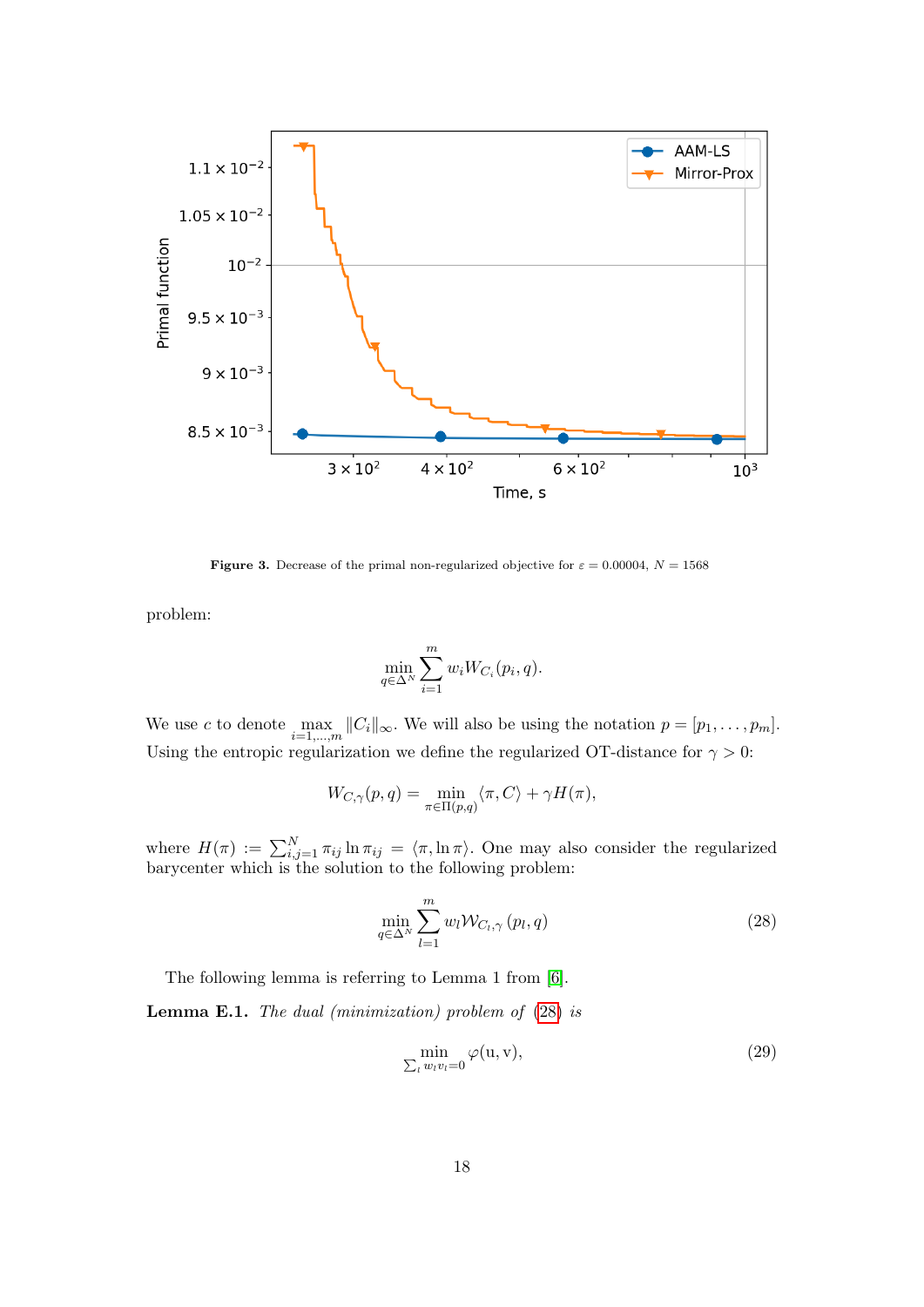

**Figure 3.** Decrease of the primal non-regularized objective for  $\varepsilon = 0.00004$ ,  $N = 1568$ 

problem:

<span id="page-17-0"></span>
$$
\min_{q \in \Delta^N} \sum_{i=1}^m w_i W_{C_i}(p_i, q).
$$

We use c to denote  $\max_{i=1,\dots,m} ||C_i||_{\infty}$ . We will also be using the notation  $p = [p_1, \dots, p_m]$ . Using the entropic regularization we define the regularized OT-distance for  $\gamma > 0$ :

$$
W_{C,\gamma}(p,q) = \min_{\pi \in \Pi(p,q)} \langle \pi, C \rangle + \gamma H(\pi),
$$

where  $H(\pi) := \sum_{i,j=1}^N \pi_{ij} \ln \pi_{ij} = \langle \pi, \ln \pi \rangle$ . One may also consider the regularized barycenter which is the solution to the following problem:

<span id="page-17-1"></span>
$$
\min_{q \in \Delta^N} \sum_{l=1}^m w_l \mathcal{W}_{C_l, \gamma}(p_l, q) \tag{28}
$$

The following lemma is referring to Lemma 1 from [\[6\]](#page-28-6).

**Lemma E.1.** The dual (minimization) problem of  $(28)$  is

<span id="page-17-2"></span>
$$
\min_{\sum_l w_l v_l = 0} \varphi(u, v),\tag{29}
$$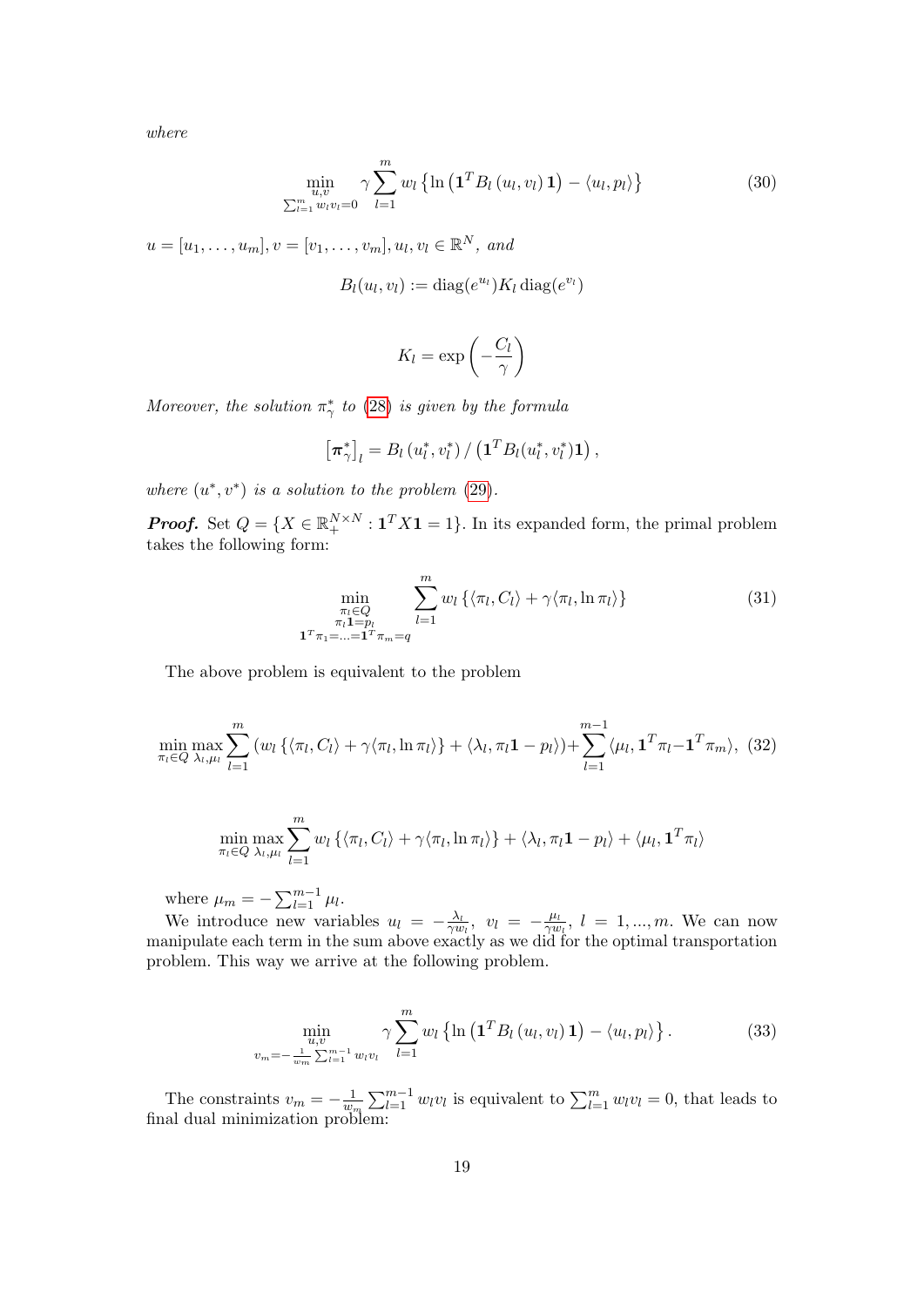where

<span id="page-18-0"></span>
$$
\min_{\substack{u,v\\ \sum_{l=1}^{m} w_l v_l = 0}} \gamma \sum_{l=1}^{m} w_l \left\{ \ln \left( \mathbf{1}^T B_l \left( u_l, v_l \right) \mathbf{1} \right) - \langle u_l, p_l \rangle \right\} \tag{30}
$$

 $u = [u_1, \ldots, u_m], v = [v_1, \ldots, v_m], u_l, v_l \in \mathbb{R}^N$ , and

$$
B_l(u_l, v_l) := \text{diag}(e^{u_l}) K_l \,\text{diag}(e^{v_l})
$$

$$
K_l = \exp\left(-\frac{C_l}{\gamma}\right)
$$

Moreover, the solution  $\pi^*_{\gamma}$  to [\(28\)](#page-17-1) is given by the formula

$$
\left[\boldsymbol{\pi}_{\gamma}^*\right]_l = B_l\left(u_l^*, v_l^*\right) / \left(\mathbf{1}^T B_l(u_l^*, v_l^*) \mathbf{1}\right),
$$

where  $(u^*, v^*)$  is a solution to the problem [\(29\)](#page-17-2).

**Proof.** Set  $Q = \{X \in \mathbb{R}_+^{N \times N} : \mathbf{1}^T X \mathbf{1} = 1\}$ . In its expanded form, the primal problem takes the following form:

$$
\min_{\substack{\pi_l \in Q \\ \pi_l \mathbf{1} = p_l \\ \mathbf{1}^T \pi_1 = \ldots = \mathbf{1}^T \pi_m = q}} \sum_{l=1}^m w_l \left\{ \langle \pi_l, C_l \rangle + \gamma \langle \pi_l, \ln \pi_l \rangle \right\}
$$
(31)

The above problem is equivalent to the problem

<span id="page-18-1"></span>
$$
\min_{\pi_l \in Q} \max_{\lambda_l, \mu_l} \sum_{l=1}^m \left( w_l \left\{ \langle \pi_l, C_l \rangle + \gamma \langle \pi_l, \ln \pi_l \rangle \right\} + \langle \lambda_l, \pi_l \mathbf{1} - p_l \rangle \right) + \sum_{l=1}^{m-1} \langle \mu_l, \mathbf{1}^T \pi_l - \mathbf{1}^T \pi_m \rangle, \tag{32}
$$

$$
\min_{\pi_l \in Q} \max_{\lambda_l, \mu_l} \sum_{l=1}^m w_l \left\{ \langle \pi_l, C_l \rangle + \gamma \langle \pi_l, \ln \pi_l \rangle \right\} + \langle \lambda_l, \pi_l \mathbf{1} - p_l \rangle + \langle \mu_l, \mathbf{1}^T \pi_l \rangle
$$

where  $\mu_m = -\sum_{l=1}^{m-1} \mu_l$ .

We introduce new variables  $u_l = -\frac{\lambda_l}{\gamma u}$  $\frac{\lambda_l}{\gamma w_l}, \ \ v_l \ = \ -\frac{\mu_l}{\gamma u}$  $\frac{\mu_l}{\gamma w_l}$ ,  $l = 1, ..., m$ . We can now manipulate each term in the sum above exactly as we did for the optimal transportation problem. This way we arrive at the following problem.

$$
\min_{\substack{u,v\\v_m=-\frac{1}{w_m}\sum_{l=1}^{m-1}w_lv_l}} \gamma \sum_{l=1}^m w_l \left\{ \ln \left( \mathbf{1}^T B_l(u_l, v_l) \mathbf{1} \right) - \langle u_l, p_l \rangle \right\}.
$$
 (33)

The constraints  $v_m = -\frac{1}{w_s}$  $\frac{1}{w_m} \sum_{l=1}^{m-1} w_l v_l$  is equivalent to  $\sum_{l=1}^{m} w_l v_l = 0$ , that leads to final dual minimization problem: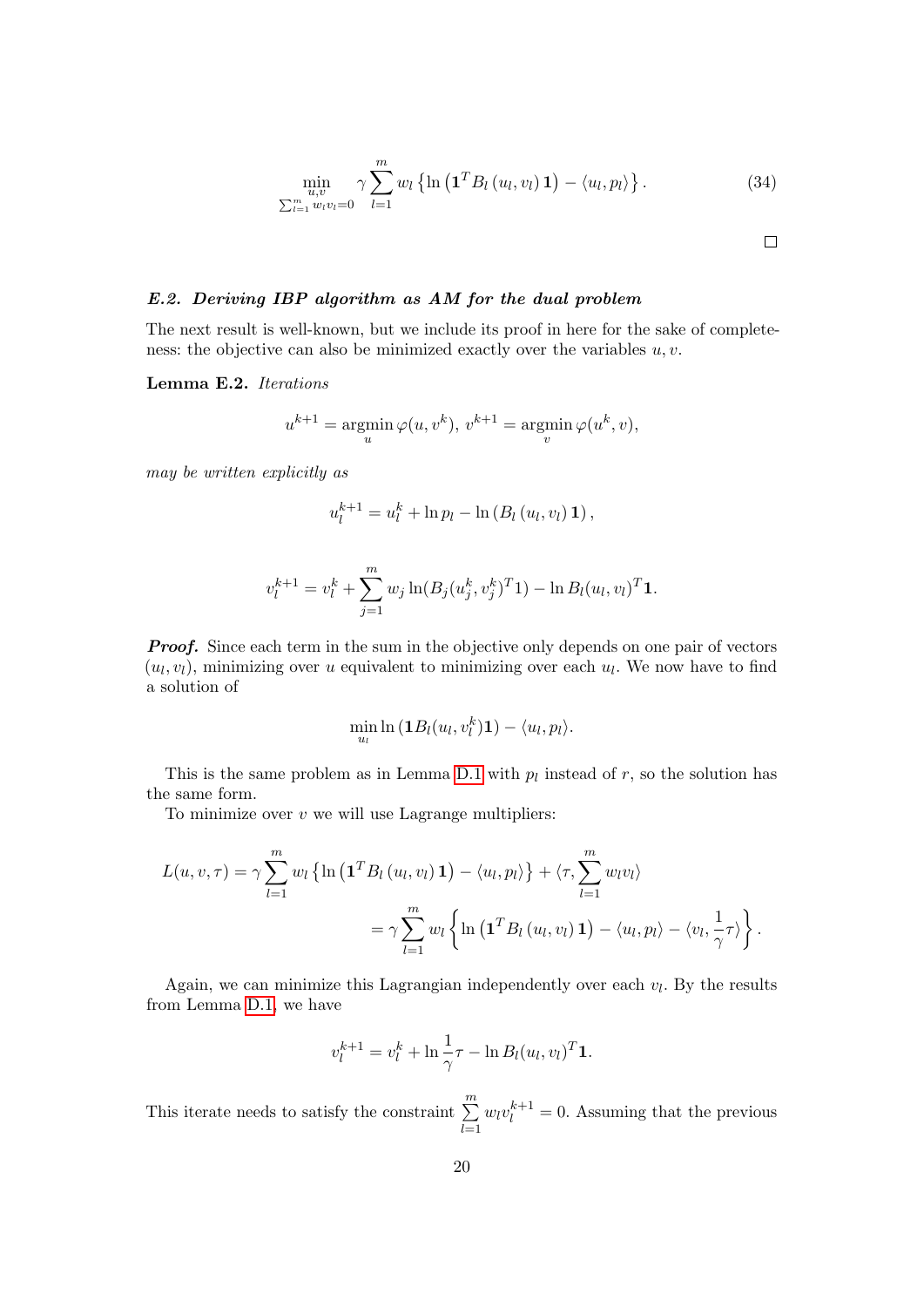$$
\min_{\substack{u,v\\ \sum_{l=1}^m w_l v_l = 0}} \gamma \sum_{l=1}^m w_l \left\{ \ln \left( \mathbf{1}^T B_l(u_l, v_l) \mathbf{1} \right) - \langle u_l, p_l \rangle \right\}.
$$
 (34)

 $\Box$ 

E.2. Deriving IBP algorithm as AM for the dual problem

The next result is well-known, but we include its proof in here for the sake of completeness: the objective can also be minimized exactly over the variables  $u, v$ .

Lemma E.2. Iterations

$$
u^{k+1} = \operatorname*{argmin}_{u} \varphi(u, v^k), v^{k+1} = \operatorname*{argmin}_{v} \varphi(u^k, v),
$$

may be written explicitly as

$$
u_l^{k+1} = u_l^k + \ln p_l - \ln (B_l (u_l, v_l) \mathbf{1}),
$$

$$
v_l^{k+1} = v_l^k + \sum_{j=1}^m w_j \ln(B_j(u_j^k, v_j^k)^T 1) - \ln B_l(u_l, v_l)^T 1.
$$

**Proof.** Since each term in the sum in the objective only depends on one pair of vectors  $(u_l, v_l)$ , minimizing over u equivalent to minimizing over each  $u_l$ . We now have to find a solution of

$$
\min_{u_l} \ln \left(\mathbf{1}B_l(u_l, v_l^k)\mathbf{1}\right) - \langle u_l, p_l \rangle.
$$

This is the same problem as in Lemma [D.1](#page-10-0) with  $p_l$  instead of  $r$ , so the solution has the same form.

To minimize over  $v$  we will use Lagrange multipliers:

$$
L(u, v, \tau) = \gamma \sum_{l=1}^{m} w_l \left\{ \ln \left( \mathbf{1}^T B_l(u_l, v_l) \mathbf{1} \right) - \langle u_l, p_l \rangle \right\} + \langle \tau, \sum_{l=1}^{m} w_l v_l \rangle
$$
  
= 
$$
\gamma \sum_{l=1}^{m} w_l \left\{ \ln \left( \mathbf{1}^T B_l(u_l, v_l) \mathbf{1} \right) - \langle u_l, p_l \rangle - \langle v_l, \frac{1}{\gamma} \tau \rangle \right\}.
$$

Again, we can minimize this Lagrangian independently over each  $v_l$ . By the results from Lemma [D.1,](#page-10-0) we have

$$
v_l^{k+1} = v_l^k + \ln \frac{1}{\gamma} \tau - \ln B_l(u_l, v_l)^T \mathbf{1}.
$$

This iterate needs to satisfy the constraint  $\sum_{n=1}^{m}$  $_{l=1}$  $w_l v_l^{k+1} = 0$ . Assuming that the previous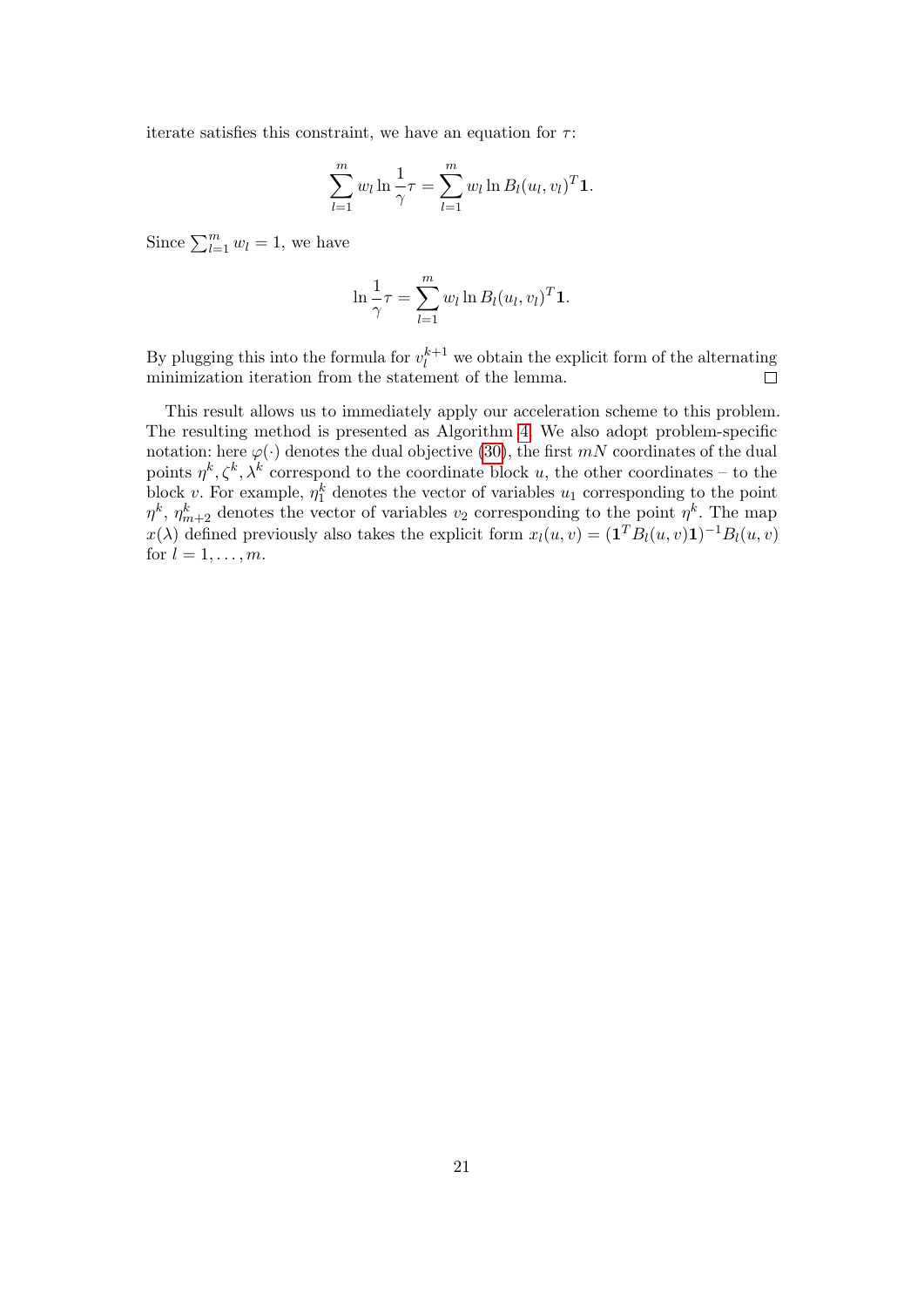iterate satisfies this constraint, we have an equation for  $\tau$ :

$$
\sum_{l=1}^{m} w_l \ln \frac{1}{\gamma} \tau = \sum_{l=1}^{m} w_l \ln B_l(u_l, v_l)^T \mathbf{1}.
$$

Since  $\sum_{l=1}^{m} w_l = 1$ , we have

$$
\ln \frac{1}{\gamma} \tau = \sum_{l=1}^{m} w_l \ln B_l(u_l, v_l)^T \mathbf{1}.
$$

By plugging this into the formula for  $v_l^{k+1}$  we obtain the explicit form of the alternating minimization iteration from the statement of the lemma.

This result allows us to immediately apply our acceleration scheme to this problem. The resulting method is presented as Algorithm [4.](#page-21-0) We also adopt problem-specific notation: here  $\varphi(\cdot)$  denotes the dual objective [\(30\)](#page-18-0), the first mN coordinates of the dual points  $\eta^k, \zeta^k, \lambda^k$  correspond to the coordinate block u, the other coordinates – to the block v. For example,  $\eta_1^k$  denotes the vector of variables  $u_1$  corresponding to the point  $\eta^k$ ,  $\eta^k_{m+2}$  denotes the vector of variables  $v_2$  corresponding to the point  $\eta^k$ . The map  $x(\lambda)$  defined previously also takes the explicit form  $x_l(u, v) = (\mathbf{1}^T B_l(u, v) \mathbf{1})^{-1} B_l(u, v)$ for  $l = 1, \ldots, m$ .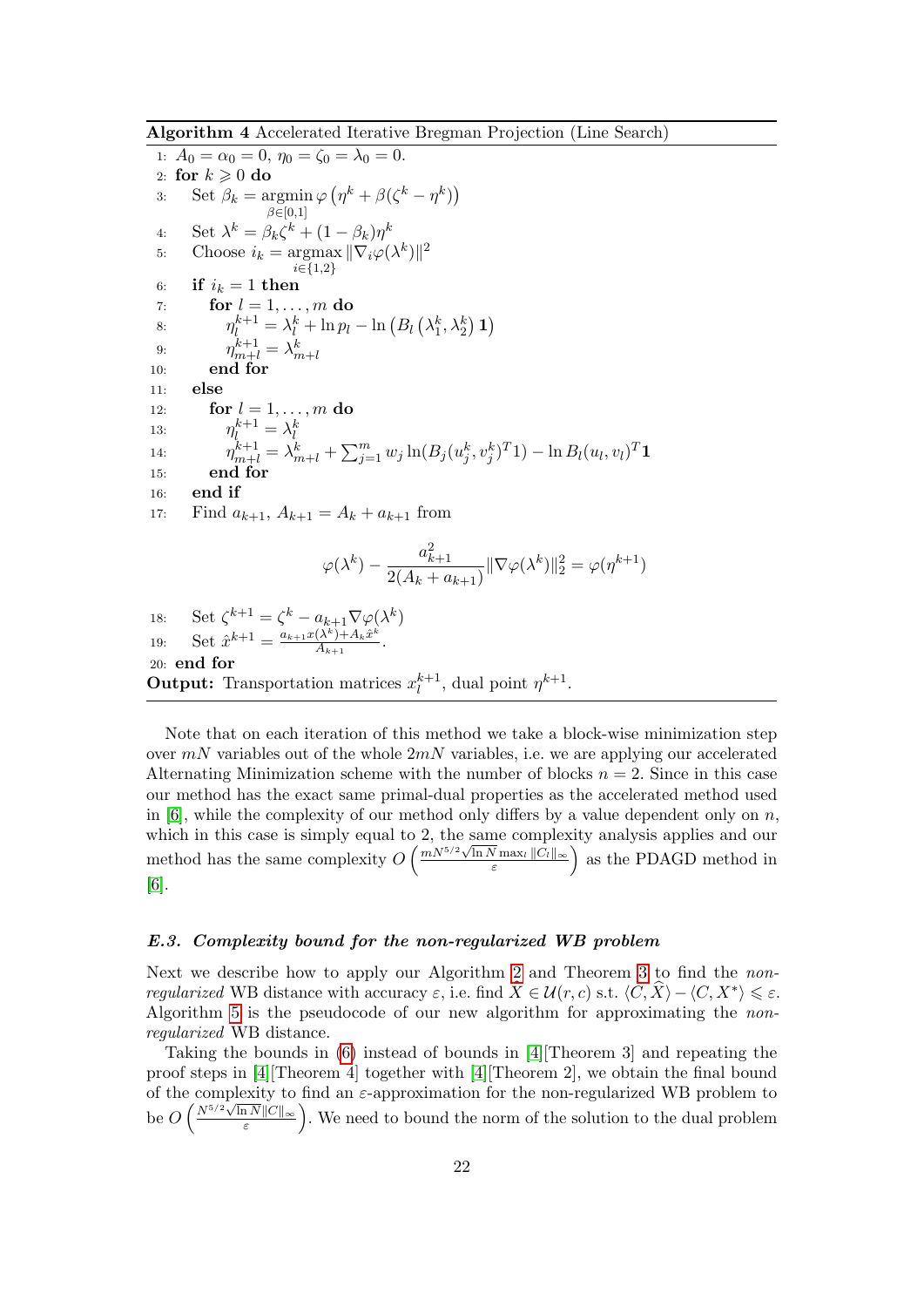Algorithm 4 Accelerated Iterative Bregman Projection (Line Search)

<span id="page-21-0"></span>1:  $A_0 = \alpha_0 = 0, \eta_0 = \zeta_0 = \lambda_0 = 0.$ 2: for  $k \geqslant 0$  do 3: Set  $\beta_k = \text{argmin}$  $\beta \in [0,1]$  $\varphi\left(\eta^k + \beta(\zeta^k - \eta^k)\right)$ 4: Set  $\lambda^k = \beta_k \zeta^k + (1 - \beta_k) \eta^k$ 5: Choose  $i_k = \text{argmax}$ i∈{1,2}  $\|\nabla_i\varphi(\lambda^k)\|^2$ 6: if  $i_k = 1$  then 7: for  $l = 1, \ldots, m$  do 8:  $\eta_l^{k+1} = \lambda_l^k + \ln p_l - \ln (B_l (\lambda_1^k, \lambda_2^k) \mathbf{1})$ 9:  $\eta_{m+l}^{k+1} = \lambda_{m+l}^k$ <br>10: **end for** 11: else 12: **for**  $l = 1, ..., m$  **do** 13:  $\eta_l^{k+1} = \lambda_l^k$ 14:  $\eta_{m+l}^{k+1} = \lambda_{m+l}^k + \sum_{j=1}^m w_j \ln(B_j(u_j^k, v_j^k)^T 1) - \ln B_l(u_l, v_l)^T 1$ 15: end for 16: end if 17: Find  $a_{k+1}$ ,  $A_{k+1} = A_k + a_{k+1}$  from  $\varphi(\lambda^k)$   $$  $a_{k+1}^2$  $\frac{a_{k+1}}{2(A_k + a_{k+1})} \|\nabla \varphi(\lambda^k)\|_2^2 = \varphi(\eta^{k+1})$ 18: Set  $\zeta^{k+1} = \zeta^k - a_{k+1} \nabla \varphi(\lambda^k)$ 19: Set  $\hat{x}^{k+1} = \frac{a_{k+1}x(\lambda^k)+A_k\hat{x}^k}{A_{k+1}}$  $\frac{(A^{\kappa})+A_kx^{\kappa}}{A_{k+1}}$ .

# 20: end for **Output:** Transportation matrices  $x_l^{k+1}$

Note that on each iteration of this method we take a block-wise minimization step over  $mN$  variables out of the whole  $2mN$  variables, i.e. we are applying our accelerated Alternating Minimization scheme with the number of blocks  $n = 2$ . Since in this case our method has the exact same primal-dual properties as the accelerated method used in  $[6]$ , while the complexity of our method only differs by a value dependent only on  $n$ , which in this case is simply equal to 2, the same complexity analysis applies and our which in this case is simply equal to 2, the same complex<br>method has the same complexity  $O\left(\frac{mN^{5/2}\sqrt{\ln N}\max_{\varepsilon}||C_l||_{\infty}}{\varepsilon}\right)$  $\sqrt{\frac{N}{\varepsilon}}$ max<sub>l</sub>  $||C_l||_{\infty}$  as the PDAGD method in

 $\eta^{k+1}$ , dual point  $\eta^{k+1}$ .

[\[6\]](#page-28-6).

# E.3. Complexity bound for the non-regularized WB problem

Next we describe how to apply our Algorithm [2](#page-8-0) and Theorem [3](#page-0-0) to find the nonregularized WB distance with accuracy  $\varepsilon$ , i.e. find  $\widehat{X} \in \mathcal{U}(r, c)$  s.t.  $\langle C, \widehat{X} \rangle - \langle C, X^* \rangle \leq \varepsilon$ . Algorithm [5](#page-22-0) is the pseudocode of our new algorithm for approximating the nonregularized WB distance.

Taking the bounds in [\(6\)](#page-0-0) instead of bounds in [\[4\]](#page-28-2)[Theorem 3] and repeating the proof steps in [\[4\]](#page-28-2)[Theorem 4] together with [\[4\]](#page-28-2)[Theorem 2], we obtain the final bound of the complexity to find an  $\varepsilon$ -approximation for the non-regularized WB problem to be  $O\left(\frac{N^{5/2}\sqrt{\ln N}\|C\|_{\infty}}{\varepsilon}\right)$  $\sqrt{\frac{a|N||C||_{\infty}}{\varepsilon}}$ . We need to bound the norm of the solution to the dual problem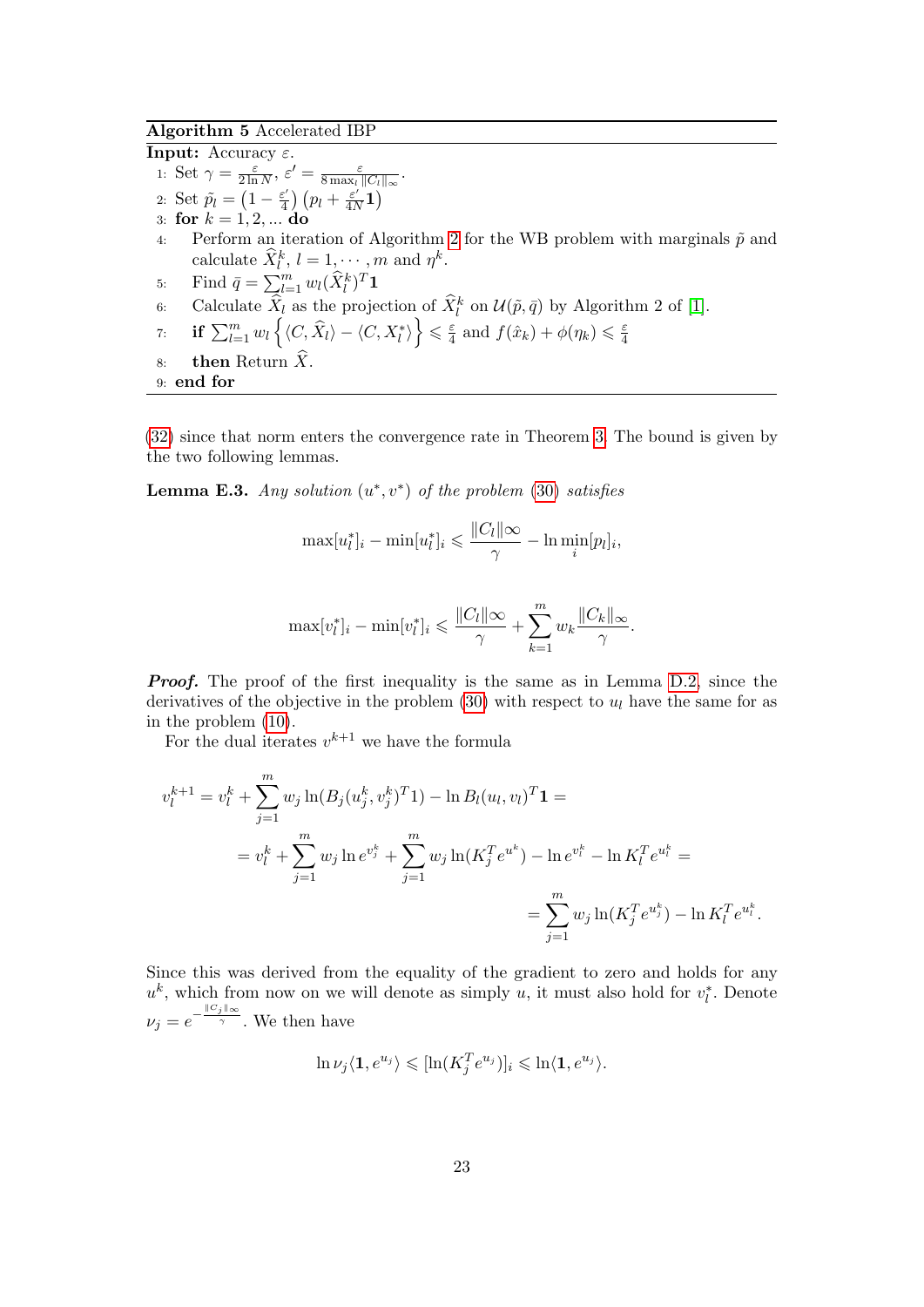# Algorithm 5 Accelerated IBP

<span id="page-22-0"></span>**Input:** Accuracy  $\varepsilon$ . 1: Set  $\gamma = \frac{\varepsilon}{2 \ln \pi}$  $\frac{\varepsilon}{2\ln N},\,\varepsilon'=\frac{\varepsilon}{8\max_l}$  $\frac{\varepsilon}{8\max_l\|C_l\|_\infty}.$ 2: Set  $\tilde{p}_l = \left(1 - \frac{\varepsilon^2}{4}\right)$  $\frac{\varepsilon'}{4}$ )  $\left(p_l + \frac{\varepsilon'}{4N}\right)$  $\frac{\varepsilon'}{4N}\mathbf{1}\big)$ 3: for  $k = 1, 2, ...$  do 4: Perform an iteration of Algorithm [2](#page-8-0) for the WB problem with marginals  $\tilde{p}$  and calculate  $\widehat{X}_l^k$ ,  $l = 1, \dots, m$  and  $\eta^k$ . 5: Find  $\bar{q} = \sum_{l=1}^{m} w_l (\hat{X}_l^k)^T \mathbf{1}$ 6: Calculate  $\widehat{X}_l$  as the projection of  $\widehat{X}_l^k$  on  $\mathcal{U}(\tilde{p}, \bar{q})$  by Algorithm 2 of [\[1\]](#page-28-3).  $\forall \tau \colon \quad \textbf{if} \, \sum_{l=1}^m w_l \left\{\langle C, \widehat{X}_l \rangle - \langle C, X^*_l \rangle \right\} \leqslant \frac{\varepsilon}{4}$  $\frac{\varepsilon}{4}$  and  $f(\hat{x}_k) + \phi(\eta_k) \leq \frac{\varepsilon}{4}$ 4 8: **then** Return  $\hat{X}$ . 9: end for

[\(32\)](#page-18-1) since that norm enters the convergence rate in Theorem [3.](#page-0-0) The bound is given by the two following lemmas.

**Lemma E.3.** Any solution  $(u^*, v^*)$  of the problem [\(30\)](#page-18-0) satisfies

$$
\max[u_l^*]_i - \min[u_l^*]_i \le \frac{||C_l|| \infty}{\gamma} - \ln \min_i [p_l]_i,
$$

$$
\max[v_l^*]_i - \min[v_l^*]_i \le \frac{\|C_l\|\infty}{\gamma} + \sum_{k=1}^m w_k \frac{\|C_k\|_{\infty}}{\gamma}.
$$

**Proof.** The proof of the first inequality is the same as in Lemma [D.2,](#page-11-2) since the derivatives of the objective in the problem  $(30)$  with respect to  $u_l$  have the same for as in the problem [\(10\)](#page-0-0).

For the dual iterates  $v^{k+1}$  we have the formula

$$
v_l^{k+1} = v_l^k + \sum_{j=1}^m w_j \ln(B_j(u_j^k, v_j^k)^T) - \ln B_l(u_l, v_l)^T \mathbf{1} =
$$
  
= 
$$
v_l^k + \sum_{j=1}^m w_j \ln e^{v_j^k} + \sum_{j=1}^m w_j \ln(K_j^T e^{u^k}) - \ln e^{v_l^k} - \ln K_l^T e^{u_l^k} =
$$
  
= 
$$
\sum_{j=1}^m w_j \ln(K_j^T e^{u_j^k}) - \ln K_l^T e^{u_l^k}.
$$

Since this was derived from the equality of the gradient to zero and holds for any  $u^k$ , which from now on we will denote as simply u, it must also hold for  $v_l^*$ . Denote  $\nu_j = e^{-\frac{\|C_j\|_\infty}{\gamma}}$ . We then have

$$
\ln \nu_j \langle \mathbf{1}, e^{u_j} \rangle \leqslant [\ln(K_j^T e^{u_j})]_i \leqslant \ln \langle \mathbf{1}, e^{u_j} \rangle.
$$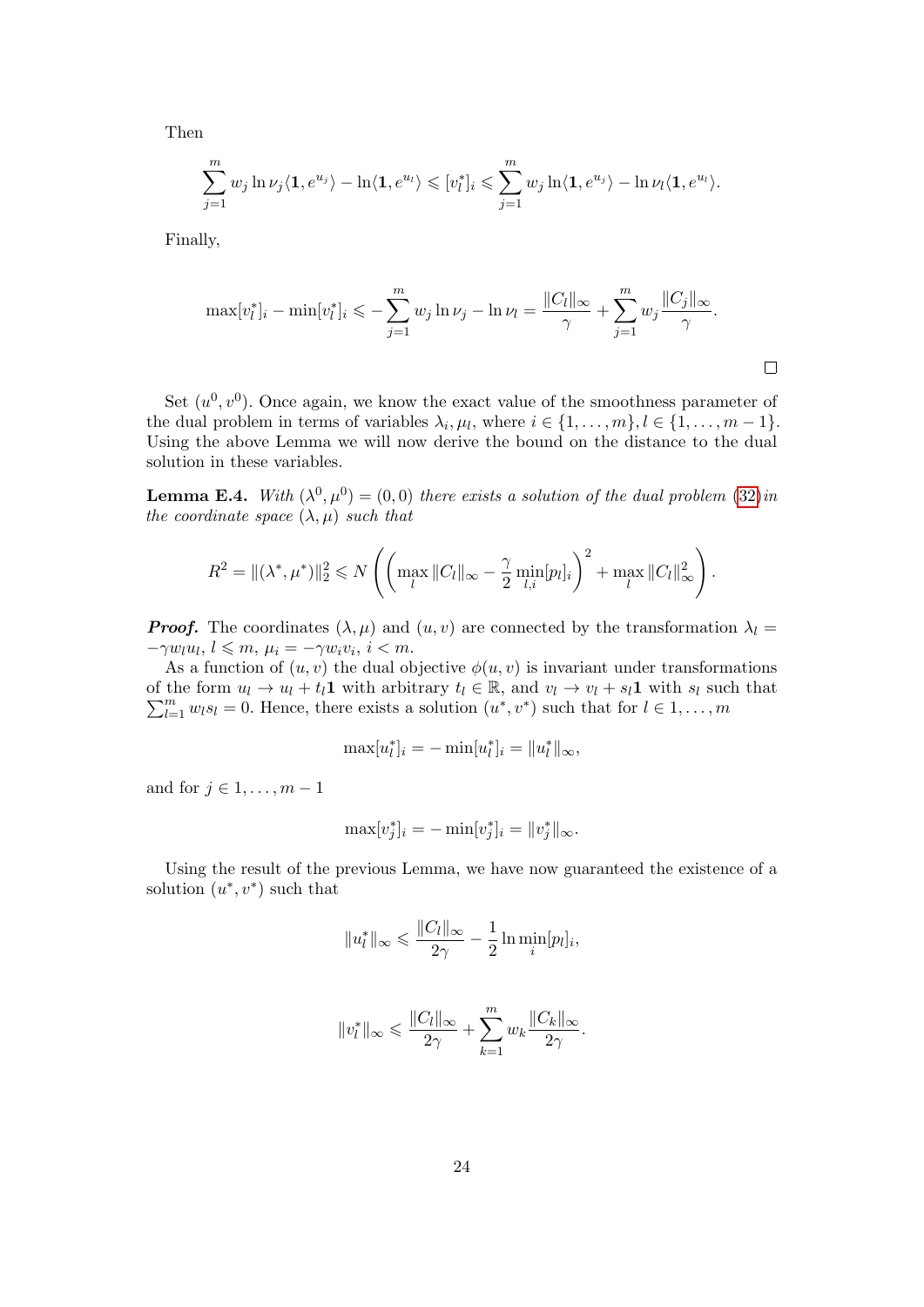Then

$$
\sum_{j=1}^m w_j \ln \nu_j \langle \mathbf{1}, e^{u_j} \rangle - \ln \langle \mathbf{1}, e^{u_l} \rangle \leqslant [v_l^*]_i \leqslant \sum_{j=1}^m w_j \ln \langle \mathbf{1}, e^{u_j} \rangle - \ln \nu_l \langle \mathbf{1}, e^{u_l} \rangle.
$$

Finally,

$$
\max[v_l^*]_i - \min[v_l^*]_i \leqslant -\sum_{j=1}^m w_j \ln \nu_j - \ln \nu_l = \frac{\|C_l\|_{\infty}}{\gamma} + \sum_{j=1}^m w_j \frac{\|C_j\|_{\infty}}{\gamma}.
$$

Set  $(u^0, v^0)$ . Once again, we know the exact value of the smoothness parameter of the dual problem in terms of variables  $\lambda_i, \mu_l$ , where  $i \in \{1, \ldots, m\}$ ,  $l \in \{1, \ldots, m-1\}$ . Using the above Lemma we will now derive the bound on the distance to the dual solution in these variables.

**Lemma E.4.** With  $(\lambda^0, \mu^0) = (0, 0)$  there exists a solution of the dual problem  $(32)$ in the coordinate space  $(\lambda, \mu)$  such that

$$
R^{2} = \|(\lambda^{*}, \mu^{*})\|_{2}^{2} \leq N \left( \left( \max_{l} \|C_{l}\|_{\infty} - \frac{\gamma}{2} \min_{l, i} [p_{l}]_{i} \right)^{2} + \max_{l} \|C_{l}\|_{\infty}^{2} \right).
$$

**Proof.** The coordinates  $(\lambda, \mu)$  and  $(u, v)$  are connected by the transformation  $\lambda_l =$  $-\gamma w_l u_l, l \leqslant m, \mu_i = -\gamma w_i v_i, i < m.$ 

As a function of  $(u, v)$  the dual objective  $\phi(u, v)$  is invariant under transformations of the form  $u_l \to u_l + t_l \mathbf{1}$  with arbitrary  $t_l \in \mathbb{R}$ , and  $v_l \to v_l + s_l \mathbf{1}$  with  $s_l$  such that  $\sum_{l=1}^{m} w_l s_l = 0$ . Hence, there exists a solution  $(u^*, v^*)$  such that for  $l \in 1, ..., m$ 

$$
\max[u_l^*]_i = -\min[u_l^*]_i = ||u_l^*||_{\infty},
$$

and for  $j \in 1, \ldots, m-1$ 

$$
\max[v_j^*]_i = -\min[v_j^*]_i = ||v_j^*||_{\infty}.
$$

Using the result of the previous Lemma, we have now guaranteed the existence of a solution  $(u^*, v^*)$  such that

$$
||u_l^*||_{\infty} \leqslant \frac{||C_l||_{\infty}}{2\gamma} - \frac{1}{2} \ln \min_i [p_l]_i,
$$

$$
||v_l^*||_{\infty} \leqslant \frac{||C_l||_{\infty}}{2\gamma} + \sum_{k=1}^m w_k \frac{||C_k||_{\infty}}{2\gamma}.
$$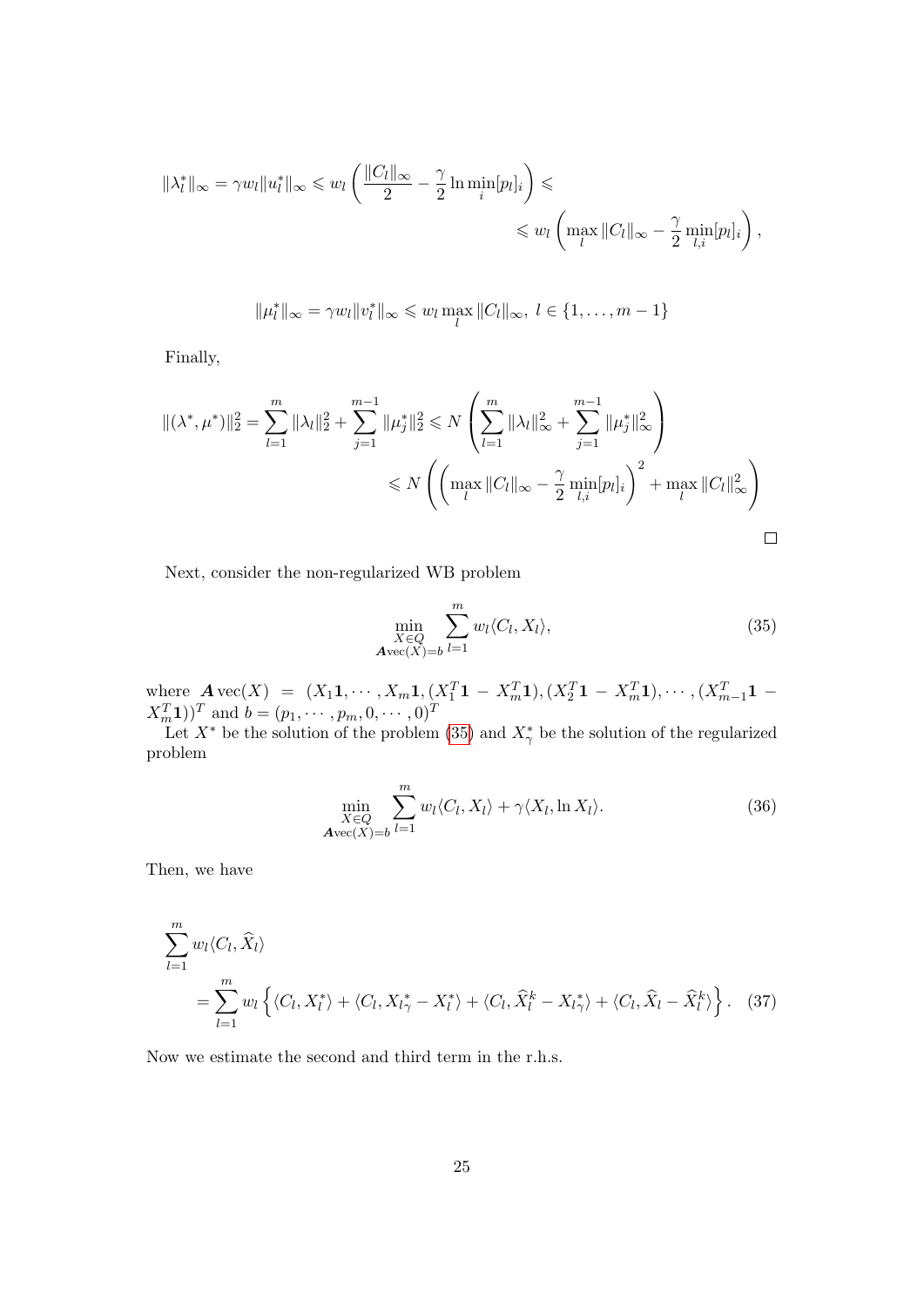$$
\|\lambda_l^*\|_{\infty} = \gamma w_l \|u_l^*\|_{\infty} \leq w_l \left(\frac{\|C_l\|_{\infty}}{2} - \frac{\gamma}{2} \ln \min_i [p_l]_i\right) \leq \leq w_l \left(\max_l \|C_l\|_{\infty} - \frac{\gamma}{2} \min_{l,i} [p_l]_i\right),
$$

$$
\|\mu_l^*\|_{\infty} = \gamma w_l \|v_l^*\|_{\infty} \leq w_l \max_l \|C_l\|_{\infty}, \ l \in \{1, \ldots, m-1\}
$$

Finally,

$$
\begin{aligned} ||(\lambda^*, \mu^*)||_2^2 &= \sum_{l=1}^m \|\lambda_l\|_2^2 + \sum_{j=1}^{m-1} \|\mu_j^*\|_2^2 \le N \left(\sum_{l=1}^m \|\lambda_l\|_{\infty}^2 + \sum_{j=1}^{m-1} \|\mu_j^*\|_{\infty}^2\right) \\ &\le N \left(\left(\max_l \|C_l\|_{\infty} - \frac{\gamma}{2} \min_{l,i} [p_l]_i\right)^2 + \max_l \|C_l\|_{\infty}^2\right) \end{aligned}
$$

Next, consider the non-regularized WB problem

<span id="page-24-0"></span>
$$
\min_{\substack{X \in Q \\ \mathbf{A}\text{vec}(X)=b}} \sum_{l=1}^{m} w_l \langle C_l, X_l \rangle, \tag{35}
$$

where  $\mathbf{A} \text{vec}(X) = (X_1 \mathbf{1}, \cdots, X_m \mathbf{1}, (X_1^T \mathbf{1} - X_m^T \mathbf{1}), (X_2^T \mathbf{1} - X_m^T \mathbf{1}), \cdots, (X_{m-1}^T \mathbf{1} - X_m^T \mathbf{1})$  $(X_m^T 1)$ <sup>T</sup> and  $b = (p_1, \dots, p_m, 0, \dots, 0)$ <sup>T</sup>

Let  $X^*$  be the solution of the problem [\(35\)](#page-24-0) and  $X^*_{\gamma}$  be the solution of the regularized problem

<span id="page-24-1"></span>
$$
\min_{\substack{X \in Q \\ \mathbf{A}\text{vec}(X)=b}} \sum_{l=1}^{m} w_l \langle C_l, X_l \rangle + \gamma \langle X_l, \ln X_l \rangle. \tag{36}
$$

Then, we have

$$
\sum_{l=1}^{m} w_l \langle C_l, \hat{X}_l \rangle
$$
\n
$$
= \sum_{l=1}^{m} w_l \left\{ \langle C_l, X_l^* \rangle + \langle C_l, X_{l\gamma}^* - X_l^* \rangle + \langle C_l, \hat{X}_l^k - X_{l\gamma}^* \rangle + \langle C_l, \hat{X}_l - \hat{X}_l^k \rangle \right\}. \quad (37)
$$

Now we estimate the second and third term in the r.h.s.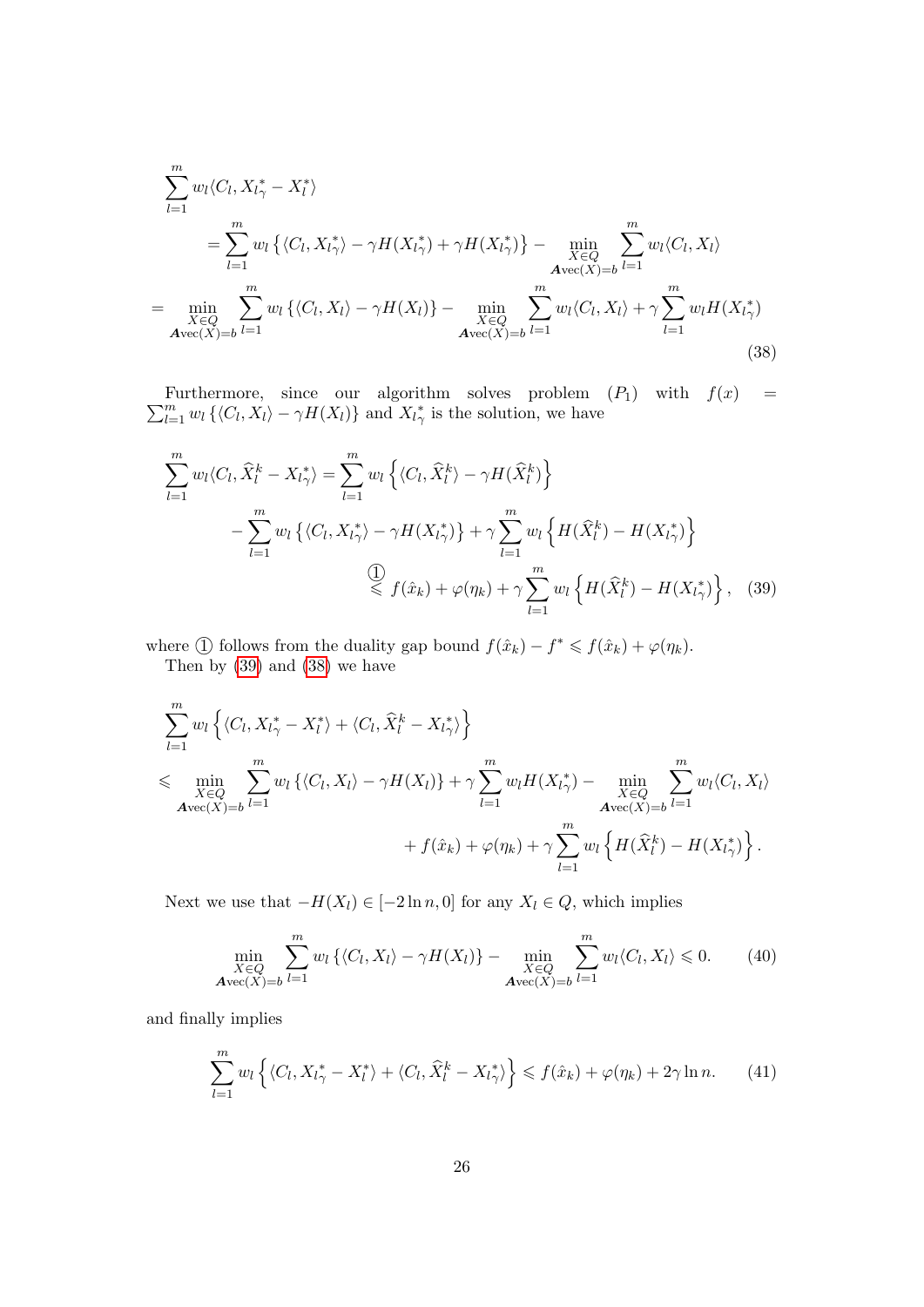$$
\sum_{l=1}^{m} w_l \langle C_l, X_{l\gamma}^* - X_l^* \rangle
$$
\n
$$
= \sum_{l=1}^{m} w_l \left\{ \langle C_l, X_{l\gamma}^* \rangle - \gamma H(X_{l\gamma}^*) + \gamma H(X_{l\gamma}^* \rangle \right\} - \min_{\substack{X \in Q \\ \mathcal{A} \text{vec}(X) = b}} \sum_{l=1}^{m} w_l \langle C_l, X_l \rangle
$$
\n
$$
= \min_{\substack{X \in Q \\ \mathcal{A} \text{vec}(X) = b}} \sum_{l=1}^{m} w_l \left\{ \langle C_l, X_l \rangle - \gamma H(X_l) \right\} - \min_{\substack{X \in Q \\ \mathcal{A} \text{vec}(X) = b}} \sum_{l=1}^{m} w_l \langle C_l, X_l \rangle + \gamma \sum_{l=1}^{m} w_l H(X_{l\gamma}^*)
$$
\n
$$
= \sum_{A \text{vec}(X) = b} \sum_{l=1}^{m} w_l H(X_{l\gamma}^*)
$$
\n(38)

 $\sum_{l=1}^m w_l \left\{ \langle C_l, X_l \rangle - \gamma H(X_l) \right\}$  and  $X_{l\gamma}^*$  is the solution, we have Furthermore, since our algorithm solves problem  $(P_1)$  with  $f(x) =$ 

<span id="page-25-1"></span>
$$
\sum_{l=1}^{m} w_l \langle C_l, \hat{X}_l^k - X_{l\gamma}^* \rangle = \sum_{l=1}^{m} w_l \left\{ \langle C_l, \hat{X}_l^k \rangle - \gamma H(\hat{X}_l^k) \right\}
$$

$$
- \sum_{l=1}^{m} w_l \left\{ \langle C_l, X_{l\gamma}^* \rangle - \gamma H(X_{l\gamma}^* ) \right\} + \gamma \sum_{l=1}^{m} w_l \left\{ H(\hat{X}_l^k) - H(X_{l\gamma}^* ) \right\}
$$

$$
\overset{\textcircled{\bigcirc}}{\leq} f(\hat{x}_k) + \varphi(\eta_k) + \gamma \sum_{l=1}^{m} w_l \left\{ H(\hat{X}_l^k) - H(X_{l\gamma}^*) \right\}, \quad (39)
$$

where ① follows from the duality gap bound  $f(\hat{x}_k) - f^* \leq f(\hat{x}_k) + \varphi(\eta_k)$ .

<span id="page-25-0"></span>Then by [\(39\)](#page-25-0) and [\(38\)](#page-25-1) we have

$$
\sum_{l=1}^{m} w_l \left\{ \langle C_l, X_{l\gamma}^* - X_l^* \rangle + \langle C_l, \widehat{X}_l^k - X_{l\gamma}^* \rangle \right\}
$$
\n
$$
\leqslant \min_{\substack{X \in Q \\ \mathbf{A} \text{vec}(X) = b}} \sum_{l=1}^{m} w_l \left\{ \langle C_l, X_l \rangle - \gamma H(X_l) \right\} + \gamma \sum_{l=1}^{m} w_l H(X_{l\gamma}^*) - \min_{\substack{X \in Q \\ \mathbf{A} \text{vec}(X) = b}} \sum_{l=1}^{m} w_l \langle C_l, X_l \rangle
$$
\n
$$
+ f(\hat{x}_k) + \varphi(\eta_k) + \gamma \sum_{l=1}^{m} w_l \left\{ H(\widehat{X}_l^k) - H(X_{l\gamma}^*) \right\}.
$$

Next we use that  $-H(X_l) \in [-2\ln n, 0]$  for any  $X_l \in Q$ , which implies

$$
\min_{\substack{X \in Q \\ \mathbf{A} \text{vec}(X) = b}} \sum_{l=1}^{m} w_l \left\{ \langle C_l, X_l \rangle - \gamma H(X_l) \right\} - \min_{\substack{X \in Q \\ \mathbf{A} \text{vec}(X) = b}} \sum_{l=1}^{m} w_l \langle C_l, X_l \rangle \leq 0. \tag{40}
$$

and finally implies

<span id="page-25-2"></span>
$$
\sum_{l=1}^{m} w_l \left\{ \langle C_l, X_{l\gamma}^* - X_l^* \rangle + \langle C_l, \widehat{X}_l^k - X_{l\gamma}^* \rangle \right\} \leq f(\hat{x}_k) + \varphi(\eta_k) + 2\gamma \ln n. \tag{41}
$$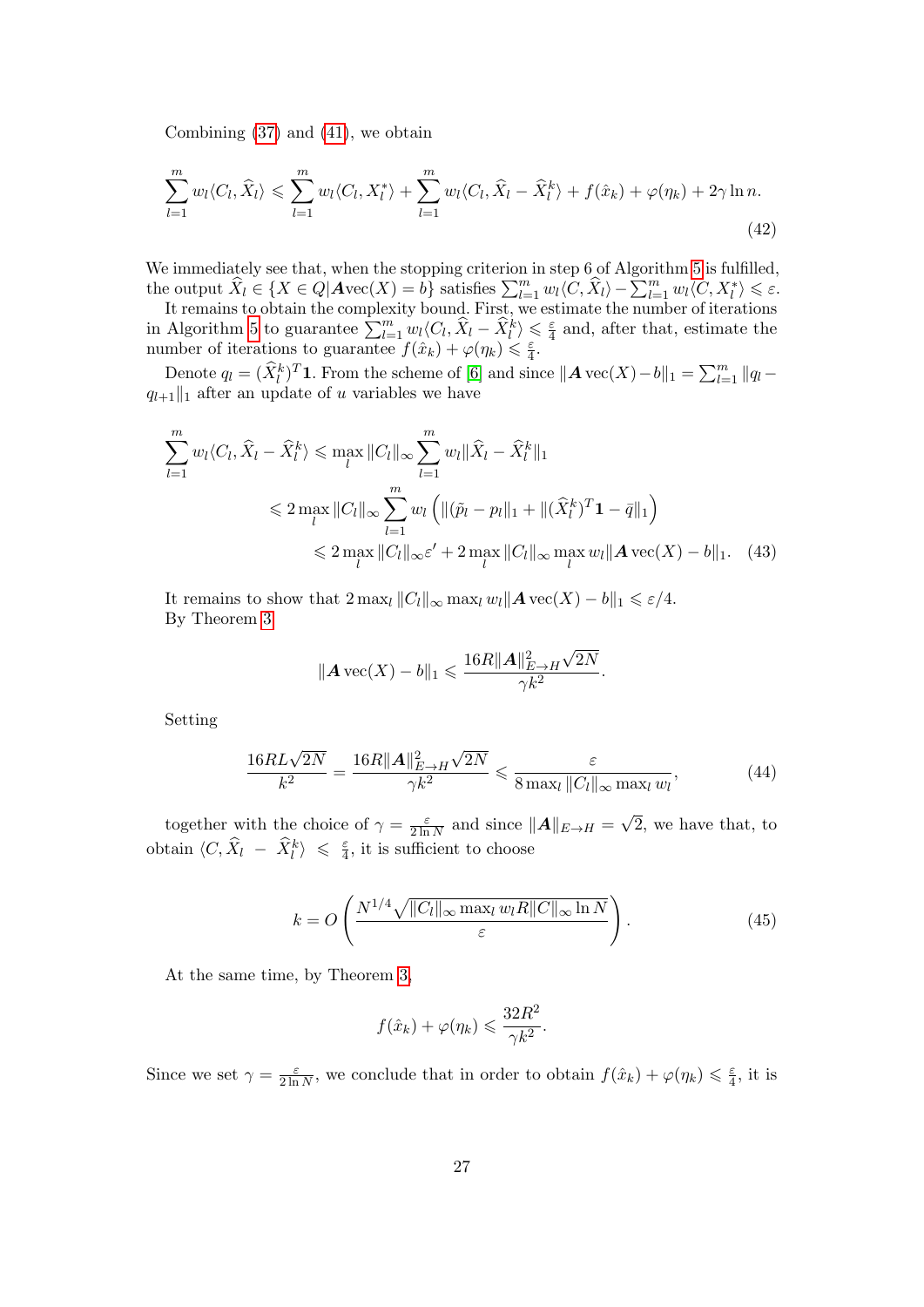Combining [\(37\)](#page-24-1) and [\(41\)](#page-25-2), we obtain

$$
\sum_{l=1}^{m} w_l \langle C_l, \hat{X}_l \rangle \leqslant \sum_{l=1}^{m} w_l \langle C_l, X_l^* \rangle + \sum_{l=1}^{m} w_l \langle C_l, \hat{X}_l - \hat{X}_l^k \rangle + f(\hat{x}_k) + \varphi(\eta_k) + 2\gamma \ln n. \tag{42}
$$

We immediately see that, when the stopping criterion in step 6 of Algorithm [5](#page-22-0) is fulfilled, the output  $\widehat{X}_l \in \{X \in Q | \text{Avec}(X) = b\}$  satisfies  $\sum_{l=1}^m w_l \langle C, \widehat{X}_l \rangle - \sum_{l=1}^m w_l \langle C, X^*_l \rangle \le \varepsilon$ .

It remains to obtain the complexity bound. First, we estimate the number of iterations in Algorithm [5](#page-22-0) to guarantee  $\sum_{l=1}^{m} w_l \langle C_l, \hat{X}_l - \hat{X}_l^k \rangle \leq \frac{\varepsilon}{4}$  $\frac{\varepsilon}{4}$  and, after that, estimate the number of iterations to guarantee  $f(\hat{x}_k) + \varphi(\eta_k) \leq \frac{\varepsilon}{4}$  $\frac{\varepsilon}{4}$ .

Denote  $q_l = (\hat{X}_l^k)^T 1$ . From the scheme of [\[6\]](#page-28-6) and since  $||A \text{ vec}(X) - b||_1 = \sum_{l=1}^m ||q_l$  $q_{l+1}$ ||1 after an update of u variables we have

$$
\sum_{l=1}^{m} w_{l} \langle C_{l}, \hat{X}_{l} - \hat{X}_{l}^{k} \rangle \leq \max_{l} \|C_{l}\|_{\infty} \sum_{l=1}^{m} w_{l} \|\hat{X}_{l} - \hat{X}_{l}^{k}\|_{1}
$$
\n
$$
\leq 2 \max_{l} \|C_{l}\|_{\infty} \sum_{l=1}^{m} w_{l} \left( \|(\tilde{p}_{l} - p_{l}\|_{1} + \|(\hat{X}_{l}^{k})^{T} \mathbf{1} - \bar{q}\|_{1} \right)
$$
\n
$$
\leq 2 \max_{l} \|C_{l}\|_{\infty} \varepsilon' + 2 \max_{l} \|C_{l}\|_{\infty} \max_{l} w_{l} \|A \operatorname{vec}(X) - b\|_{1}.
$$
\n(43)

It remains to show that  $2 \max_l ||C_l||_{\infty} \max_l w_l ||A \operatorname{vec}(X) - b||_1 \leq \varepsilon/4.$ By Theorem [3](#page-0-0)

$$
||A \operatorname{vec}(X) - b||_1 \le \frac{16R||A||_{E \to H}^2 \sqrt{2N}}{\gamma k^2}.
$$

Setting

$$
\frac{16RL\sqrt{2N}}{k^2} = \frac{16R||\mathbf{A}||_{E\to H}^2\sqrt{2N}}{\gamma k^2} \leq \frac{\varepsilon}{8\max_l||C_l||_{\infty}\max_l w_l},\tag{44}
$$

together with the choice of  $\gamma = \frac{\varepsilon}{2 \ln n}$  $\frac{\varepsilon}{2 \ln N}$  and since  $||A||_{E \to H} =$ √ 2, we have that, to obtain  $\langle C, \hat{X}_l - \hat{X}_l^k \rangle \leq \frac{\varepsilon}{4}$  $\frac{\varepsilon}{4}$ , it is sufficient to choose

<span id="page-26-0"></span>
$$
k = O\left(\frac{N^{1/4}\sqrt{\|C_l\|_{\infty} \max_l w_l R\|C\|_{\infty} \ln N}}{\varepsilon}\right).
$$
 (45)

At the same time, by Theorem [3,](#page-0-0)

$$
f(\hat{x}_k) + \varphi(\eta_k) \leqslant \frac{32R^2}{\gamma k^2}.
$$

Since we set  $\gamma = \frac{\varepsilon}{2 \ln \pi}$  $\frac{\varepsilon}{2 \ln N}$ , we conclude that in order to obtain  $f(\hat{x}_k) + \varphi(\eta_k) \leq \frac{\varepsilon}{4}$  $\frac{\varepsilon}{4}$ , it is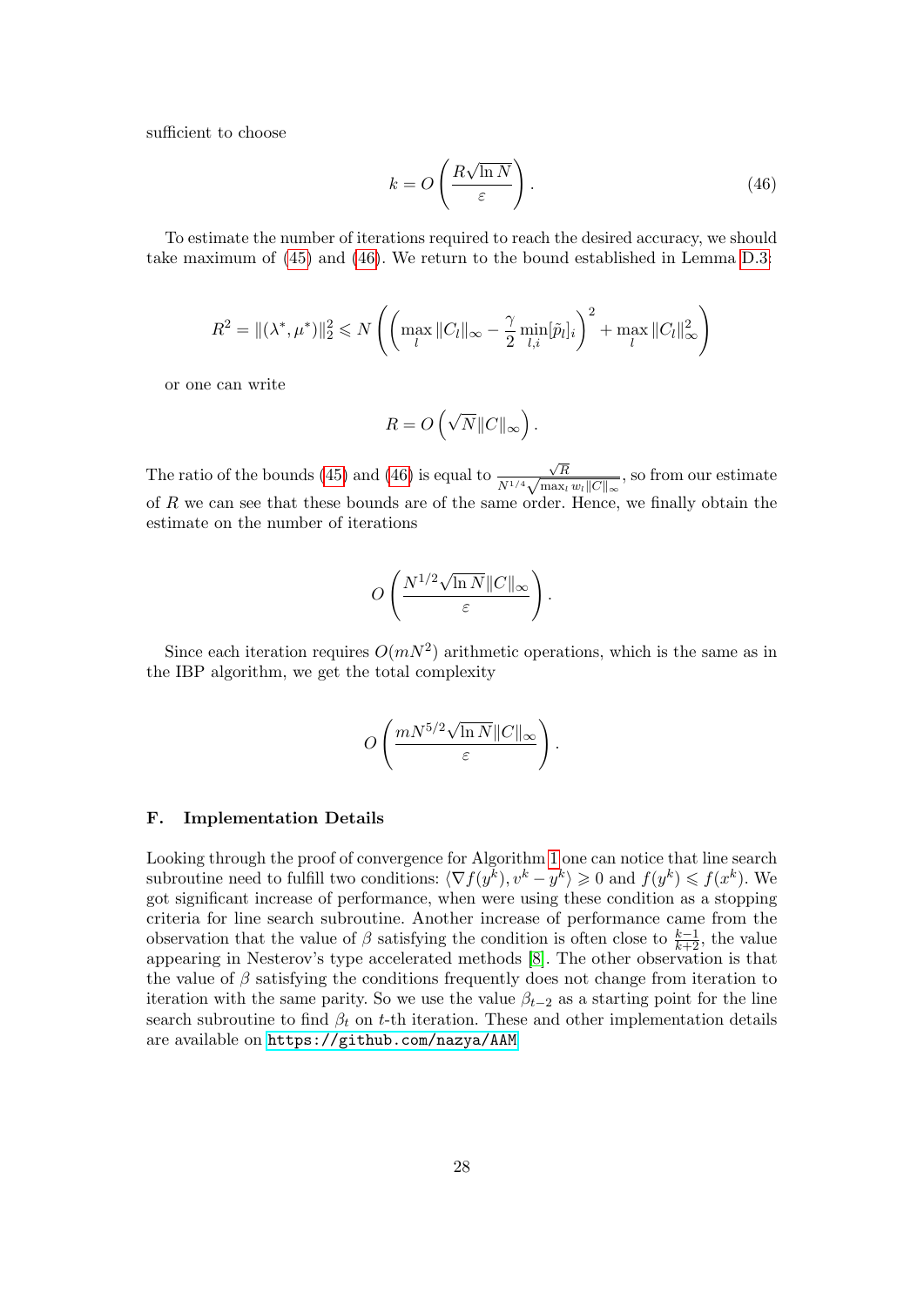sufficient to choose

<span id="page-27-0"></span>
$$
k = O\left(\frac{R\sqrt{\ln N}}{\varepsilon}\right). \tag{46}
$$

To estimate the number of iterations required to reach the desired accuracy, we should take maximum of [\(45\)](#page-26-0) and [\(46\)](#page-27-0). We return to the bound established in Lemma [D.3:](#page-12-1)

$$
R^{2} = \|(\lambda^{*}, \mu^{*})\|_{2}^{2} \leq N \left( \left( \max_{l} \|C_{l}\|_{\infty} - \frac{\gamma}{2} \min_{l, i} [\tilde{p}_{l}]_{i} \right)^{2} + \max_{l} \|C_{l}\|_{\infty}^{2} \right)
$$

or one can write

$$
R = O\left(\sqrt{N} ||C||_{\infty}\right).
$$

The ratio of the bounds [\(45\)](#page-26-0) and [\(46\)](#page-27-0) is equal to √ R  $\frac{\sqrt{R}}{N^{1/4}\sqrt{\max_i w_i ||C||_{\infty}}},$  so from our estimate of R we can see that these bounds are of the same order. Hence, we finally obtain the estimate on the number of iterations

$$
O\left(\frac{N^{1/2}\sqrt{\ln N}\|C\|_\infty}{\varepsilon}\right).
$$

Since each iteration requires  $O(mN^2)$  arithmetic operations, which is the same as in the IBP algorithm, we get the total complexity

$$
O\left(\frac{mN^{5/2}\sqrt{\ln N}\|C\|_\infty}{\varepsilon}\right).
$$

#### F. Implementation Details

Looking through the proof of convergence for Algorithm [1](#page-4-1) one can notice that line search subroutine need to fulfill two conditions:  $\langle \nabla f(y^k), v^k - y^k \rangle \geq 0$  and  $f(y^k) \leq f(x^k)$ . We got significant increase of performance, when were using these condition as a stopping criteria for line search subroutine. Another increase of performance came from the observation that the value of  $\beta$  satisfying the condition is often close to  $\frac{k-1}{k+2}$ , the value appearing in Nesterov's type accelerated methods [\[8\]](#page-28-7). The other observation is that the value of  $\beta$  satisfying the conditions frequently does not change from iteration to iteration with the same parity. So we use the value  $\beta_{t-2}$  as a starting point for the line search subroutine to find  $\beta_t$  on t-th iteration. These and other implementation details are available on <https://github.com/nazya/AAM>